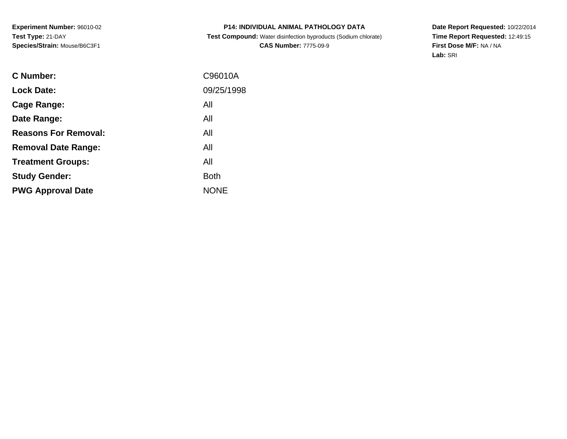# **P14: INDIVIDUAL ANIMAL PATHOLOGY DATA Test Compound:** Water disinfection byproducts (Sodium chlorate)**CAS Number:** 7775-09-9

| C Number:                   | C96010A     |
|-----------------------------|-------------|
| <b>Lock Date:</b>           | 09/25/1998  |
| Cage Range:                 | All         |
| Date Range:                 | All         |
| <b>Reasons For Removal:</b> | All         |
| <b>Removal Date Range:</b>  | All         |
| <b>Treatment Groups:</b>    | All         |
| <b>Study Gender:</b>        | <b>Both</b> |
| <b>PWG Approval Date</b>    | <b>NONE</b> |
|                             |             |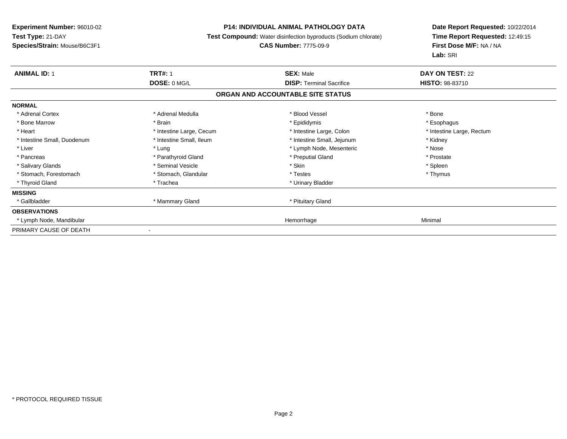### **P14: INDIVIDUAL ANIMAL PATHOLOGY DATA**

**Test Compound:** Water disinfection byproducts (Sodium chlorate)

# **CAS Number:** 7775-09-9

| <b>ANIMAL ID: 1</b>         | <b>TRT#: 1</b><br>DOSE: 0 MG/L | <b>SEX: Male</b>                  | DAY ON TEST: 22           |  |
|-----------------------------|--------------------------------|-----------------------------------|---------------------------|--|
|                             |                                | <b>DISP:</b> Terminal Sacrifice   | <b>HISTO: 98-83710</b>    |  |
|                             |                                | ORGAN AND ACCOUNTABLE SITE STATUS |                           |  |
| <b>NORMAL</b>               |                                |                                   |                           |  |
| * Adrenal Cortex            | * Adrenal Medulla              | * Blood Vessel                    | * Bone                    |  |
| * Bone Marrow               | * Brain                        | * Epididymis                      | * Esophagus               |  |
| * Heart                     | * Intestine Large, Cecum       | * Intestine Large, Colon          | * Intestine Large, Rectum |  |
| * Intestine Small, Duodenum | * Intestine Small, Ileum       | * Intestine Small, Jejunum        | * Kidney                  |  |
| * Liver                     | * Lung                         | * Lymph Node, Mesenteric          | * Nose                    |  |
| * Pancreas                  | * Parathyroid Gland            | * Preputial Gland                 | * Prostate                |  |
| * Salivary Glands           | * Seminal Vesicle              | * Skin                            | * Spleen                  |  |
| * Stomach, Forestomach      | * Stomach, Glandular           | * Testes                          | * Thymus                  |  |
| * Thyroid Gland             | * Trachea                      | * Urinary Bladder                 |                           |  |
| <b>MISSING</b>              |                                |                                   |                           |  |
| * Gallbladder               | * Mammary Gland                | * Pituitary Gland                 |                           |  |
| <b>OBSERVATIONS</b>         |                                |                                   |                           |  |
| * Lymph Node, Mandibular    |                                | Hemorrhage                        | Minimal                   |  |
| PRIMARY CAUSE OF DEATH      |                                |                                   |                           |  |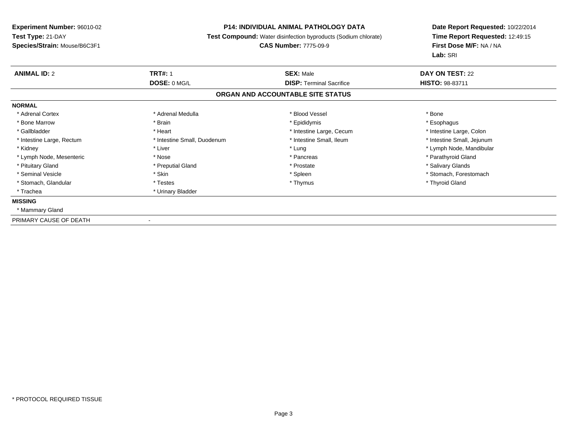### **P14: INDIVIDUAL ANIMAL PATHOLOGY DATA**

**Test Compound:** Water disinfection byproducts (Sodium chlorate)

#### **CAS Number:** 7775-09-9

| <b>ANIMAL ID: 2</b>       | <b>TRT#: 1</b>              | <b>SEX: Male</b>                  | <b>DAY ON TEST: 22</b>     |  |
|---------------------------|-----------------------------|-----------------------------------|----------------------------|--|
|                           | DOSE: 0 MG/L                | <b>DISP: Terminal Sacrifice</b>   | <b>HISTO: 98-83711</b>     |  |
|                           |                             | ORGAN AND ACCOUNTABLE SITE STATUS |                            |  |
| <b>NORMAL</b>             |                             |                                   |                            |  |
| * Adrenal Cortex          | * Adrenal Medulla           | * Blood Vessel                    | * Bone                     |  |
| * Bone Marrow             | * Brain                     | * Epididymis                      | * Esophagus                |  |
| * Gallbladder             | * Heart                     | * Intestine Large, Cecum          | * Intestine Large, Colon   |  |
| * Intestine Large, Rectum | * Intestine Small, Duodenum | * Intestine Small, Ileum          | * Intestine Small, Jejunum |  |
| * Kidney                  | * Liver                     | * Lung                            | * Lymph Node, Mandibular   |  |
| * Lymph Node, Mesenteric  | * Nose                      | * Pancreas                        | * Parathyroid Gland        |  |
| * Pituitary Gland         | * Preputial Gland           | * Prostate                        | * Salivary Glands          |  |
| * Seminal Vesicle         | * Skin                      | * Spleen                          | * Stomach, Forestomach     |  |
| * Stomach, Glandular      | * Testes                    | * Thymus                          | * Thyroid Gland            |  |
| * Trachea                 | * Urinary Bladder           |                                   |                            |  |
| <b>MISSING</b>            |                             |                                   |                            |  |
| * Mammary Gland           |                             |                                   |                            |  |
| PRIMARY CAUSE OF DEATH    |                             |                                   |                            |  |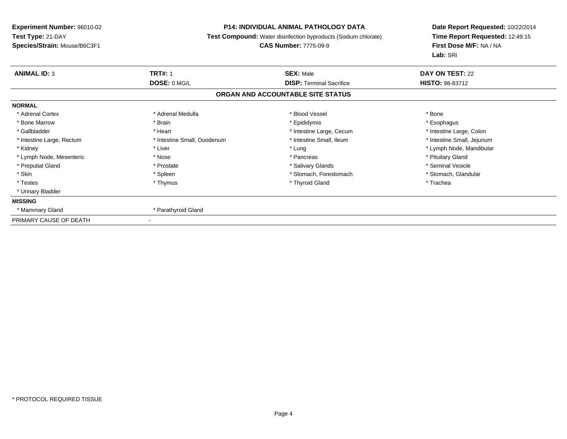# **P14: INDIVIDUAL ANIMAL PATHOLOGY DATA**

**Test Compound:** Water disinfection byproducts (Sodium chlorate)

#### **CAS Number:** 7775-09-9

| <b>ANIMAL ID: 3</b>       | <b>TRT#: 1</b>              | <b>SEX: Male</b>                  | DAY ON TEST: 22            |
|---------------------------|-----------------------------|-----------------------------------|----------------------------|
|                           | DOSE: 0 MG/L                | <b>DISP:</b> Terminal Sacrifice   | <b>HISTO: 98-83712</b>     |
|                           |                             | ORGAN AND ACCOUNTABLE SITE STATUS |                            |
| <b>NORMAL</b>             |                             |                                   |                            |
| * Adrenal Cortex          | * Adrenal Medulla           | * Blood Vessel                    | * Bone                     |
| * Bone Marrow             | * Brain                     | * Epididymis                      | * Esophagus                |
| * Gallbladder             | * Heart                     | * Intestine Large, Cecum          | * Intestine Large, Colon   |
| * Intestine Large, Rectum | * Intestine Small, Duodenum | * Intestine Small, Ileum          | * Intestine Small, Jejunum |
| * Kidney                  | * Liver                     | * Lung                            | * Lymph Node, Mandibular   |
| * Lymph Node, Mesenteric  | * Nose                      | * Pancreas                        | * Pituitary Gland          |
| * Preputial Gland         | * Prostate                  | * Salivary Glands                 | * Seminal Vesicle          |
| * Skin                    | * Spleen                    | * Stomach, Forestomach            | * Stomach, Glandular       |
| * Testes                  | * Thymus                    | * Thyroid Gland                   | * Trachea                  |
| * Urinary Bladder         |                             |                                   |                            |
| <b>MISSING</b>            |                             |                                   |                            |
| * Mammary Gland           | * Parathyroid Gland         |                                   |                            |
| PRIMARY CAUSE OF DEATH    |                             |                                   |                            |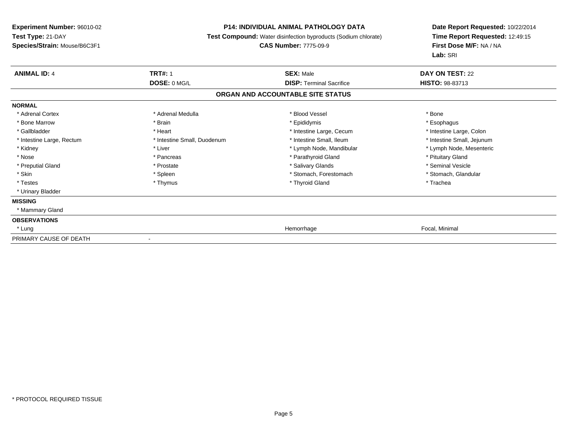### **P14: INDIVIDUAL ANIMAL PATHOLOGY DATA**

**Test Compound:** Water disinfection byproducts (Sodium chlorate)

# **CAS Number:** 7775-09-9

| <b>ANIMAL ID: 4</b>       | <b>TRT#: 1</b>              | <b>SEX: Male</b>                  | DAY ON TEST: 22            |
|---------------------------|-----------------------------|-----------------------------------|----------------------------|
|                           | DOSE: 0 MG/L                | <b>DISP: Terminal Sacrifice</b>   | <b>HISTO: 98-83713</b>     |
|                           |                             | ORGAN AND ACCOUNTABLE SITE STATUS |                            |
| <b>NORMAL</b>             |                             |                                   |                            |
| * Adrenal Cortex          | * Adrenal Medulla           | * Blood Vessel                    | * Bone                     |
| * Bone Marrow             | * Brain                     | * Epididymis                      | * Esophagus                |
| * Gallbladder             | * Heart                     | * Intestine Large, Cecum          | * Intestine Large, Colon   |
| * Intestine Large, Rectum | * Intestine Small, Duodenum | * Intestine Small, Ileum          | * Intestine Small, Jejunum |
| * Kidney                  | * Liver                     | * Lymph Node, Mandibular          | * Lymph Node, Mesenteric   |
| * Nose                    | * Pancreas                  | * Parathyroid Gland               | * Pituitary Gland          |
| * Preputial Gland         | * Prostate                  | * Salivary Glands                 | * Seminal Vesicle          |
| * Skin                    | * Spleen                    | * Stomach, Forestomach            | * Stomach, Glandular       |
| * Testes                  | * Thymus                    | * Thyroid Gland                   | * Trachea                  |
| * Urinary Bladder         |                             |                                   |                            |
| <b>MISSING</b>            |                             |                                   |                            |
| * Mammary Gland           |                             |                                   |                            |
| <b>OBSERVATIONS</b>       |                             |                                   |                            |
| * Lung                    |                             | Hemorrhage                        | Focal, Minimal             |
| PRIMARY CAUSE OF DEATH    | $\overline{\phantom{a}}$    |                                   |                            |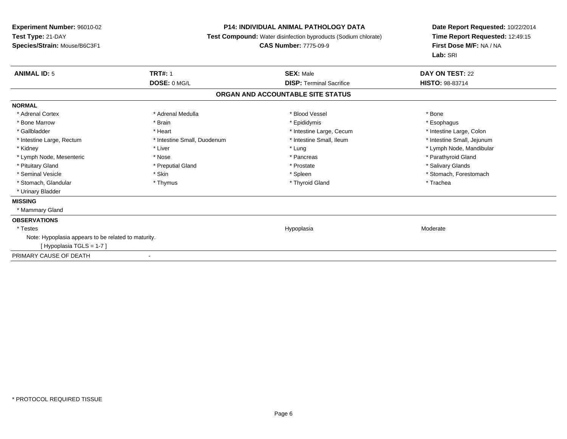### **P14: INDIVIDUAL ANIMAL PATHOLOGY DATA**

**Test Compound:** Water disinfection byproducts (Sodium chlorate)

# **CAS Number:** 7775-09-9

| <b>ANIMAL ID: 5</b>                                 | <b>TRT#: 1</b>              | <b>SEX: Male</b>                  | DAY ON TEST: 22            |  |
|-----------------------------------------------------|-----------------------------|-----------------------------------|----------------------------|--|
|                                                     | DOSE: 0 MG/L                | <b>DISP: Terminal Sacrifice</b>   | <b>HISTO: 98-83714</b>     |  |
|                                                     |                             | ORGAN AND ACCOUNTABLE SITE STATUS |                            |  |
| <b>NORMAL</b>                                       |                             |                                   |                            |  |
| * Adrenal Cortex                                    | * Adrenal Medulla           | * Blood Vessel                    | * Bone                     |  |
| * Bone Marrow                                       | * Brain                     | * Epididymis                      | * Esophagus                |  |
| * Gallbladder                                       | * Heart                     | * Intestine Large, Cecum          | * Intestine Large, Colon   |  |
| * Intestine Large, Rectum                           | * Intestine Small, Duodenum | * Intestine Small, Ileum          | * Intestine Small, Jejunum |  |
| * Kidney                                            | * Liver                     | * Lung                            | * Lymph Node, Mandibular   |  |
| * Lymph Node, Mesenteric                            | * Nose                      | * Pancreas                        | * Parathyroid Gland        |  |
| * Pituitary Gland                                   | * Preputial Gland           | * Prostate                        | * Salivary Glands          |  |
| * Seminal Vesicle                                   | * Skin                      | * Spleen                          | * Stomach, Forestomach     |  |
| * Stomach, Glandular                                | * Thymus                    | * Thyroid Gland                   | * Trachea                  |  |
| * Urinary Bladder                                   |                             |                                   |                            |  |
| <b>MISSING</b>                                      |                             |                                   |                            |  |
| * Mammary Gland                                     |                             |                                   |                            |  |
| <b>OBSERVATIONS</b>                                 |                             |                                   |                            |  |
| * Testes                                            |                             | Hypoplasia                        | Moderate                   |  |
| Note: Hypoplasia appears to be related to maturity. |                             |                                   |                            |  |
| [Hypoplasia TGLS = 1-7]                             |                             |                                   |                            |  |
| PRIMARY CAUSE OF DEATH                              | $\overline{\phantom{a}}$    |                                   |                            |  |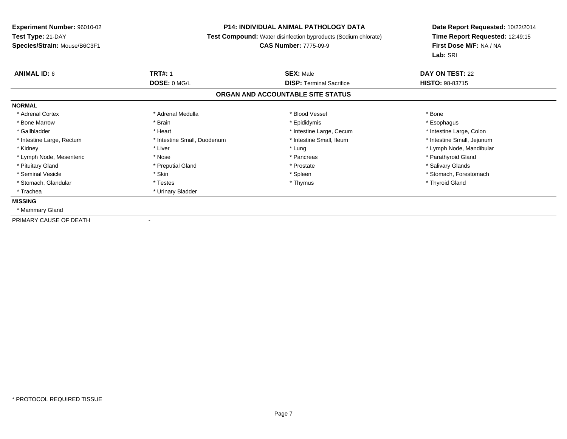# **P14: INDIVIDUAL ANIMAL PATHOLOGY DATA**

**Test Compound:** Water disinfection byproducts (Sodium chlorate)

#### **CAS Number:** 7775-09-9

| <b>ANIMAL ID: 6</b>       | <b>TRT#: 1</b>              | <b>SEX: Male</b>                  | <b>DAY ON TEST: 22</b>     |
|---------------------------|-----------------------------|-----------------------------------|----------------------------|
|                           | DOSE: 0 MG/L                | <b>DISP: Terminal Sacrifice</b>   | <b>HISTO: 98-83715</b>     |
|                           |                             | ORGAN AND ACCOUNTABLE SITE STATUS |                            |
| <b>NORMAL</b>             |                             |                                   |                            |
| * Adrenal Cortex          | * Adrenal Medulla           | * Blood Vessel                    | * Bone                     |
| * Bone Marrow             | * Brain                     | * Epididymis                      | * Esophagus                |
| * Gallbladder             | * Heart                     | * Intestine Large, Cecum          | * Intestine Large, Colon   |
| * Intestine Large, Rectum | * Intestine Small, Duodenum | * Intestine Small, Ileum          | * Intestine Small, Jejunum |
| * Kidney                  | * Liver                     | * Lung                            | * Lymph Node, Mandibular   |
| * Lymph Node, Mesenteric  | * Nose                      | * Pancreas                        | * Parathyroid Gland        |
| * Pituitary Gland         | * Preputial Gland           | * Prostate                        | * Salivary Glands          |
| * Seminal Vesicle         | * Skin                      | * Spleen                          | * Stomach, Forestomach     |
| * Stomach, Glandular      | * Testes                    | * Thymus                          | * Thyroid Gland            |
| * Trachea                 | * Urinary Bladder           |                                   |                            |
| <b>MISSING</b>            |                             |                                   |                            |
| * Mammary Gland           |                             |                                   |                            |
| PRIMARY CAUSE OF DEATH    |                             |                                   |                            |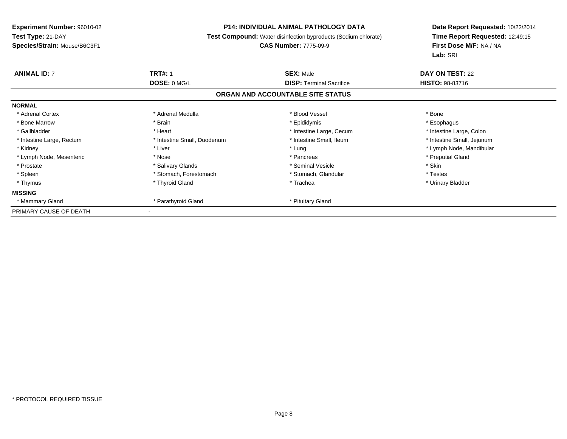# **P14: INDIVIDUAL ANIMAL PATHOLOGY DATA**

**Test Compound:** Water disinfection byproducts (Sodium chlorate)

# **CAS Number:** 7775-09-9

| <b>ANIMAL ID: 7</b>       | <b>TRT#: 1</b>              | <b>SEX: Male</b>                  | DAY ON TEST: 22            |
|---------------------------|-----------------------------|-----------------------------------|----------------------------|
|                           | DOSE: 0 MG/L                | <b>DISP:</b> Terminal Sacrifice   | <b>HISTO: 98-83716</b>     |
|                           |                             | ORGAN AND ACCOUNTABLE SITE STATUS |                            |
| <b>NORMAL</b>             |                             |                                   |                            |
| * Adrenal Cortex          | * Adrenal Medulla           | * Blood Vessel                    | * Bone                     |
| * Bone Marrow             | * Brain                     | * Epididymis                      | * Esophagus                |
| * Gallbladder             | * Heart                     | * Intestine Large, Cecum          | * Intestine Large, Colon   |
| * Intestine Large, Rectum | * Intestine Small, Duodenum | * Intestine Small, Ileum          | * Intestine Small, Jejunum |
| * Kidney                  | * Liver                     | * Lung                            | * Lymph Node, Mandibular   |
| * Lymph Node, Mesenteric  | * Nose                      | * Pancreas                        | * Preputial Gland          |
| * Prostate                | * Salivary Glands           | * Seminal Vesicle                 | * Skin                     |
| * Spleen                  | * Stomach, Forestomach      | * Stomach, Glandular              | * Testes                   |
| * Thymus                  | * Thyroid Gland             | * Trachea                         | * Urinary Bladder          |
| <b>MISSING</b>            |                             |                                   |                            |
| * Mammary Gland           | * Parathyroid Gland         | * Pituitary Gland                 |                            |
| PRIMARY CAUSE OF DEATH    |                             |                                   |                            |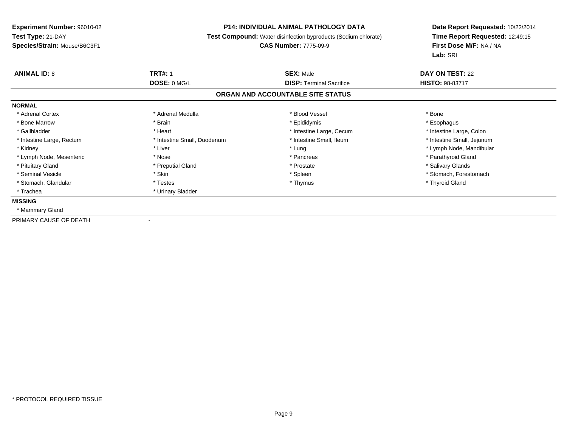# **P14: INDIVIDUAL ANIMAL PATHOLOGY DATA**

**Test Compound:** Water disinfection byproducts (Sodium chlorate)

#### **CAS Number:** 7775-09-9

| <b>ANIMAL ID: 8</b>       | <b>TRT#: 1</b>              | <b>SEX: Male</b>                  | <b>DAY ON TEST: 22</b>     |
|---------------------------|-----------------------------|-----------------------------------|----------------------------|
|                           | DOSE: 0 MG/L                | <b>DISP: Terminal Sacrifice</b>   | <b>HISTO: 98-83717</b>     |
|                           |                             | ORGAN AND ACCOUNTABLE SITE STATUS |                            |
| <b>NORMAL</b>             |                             |                                   |                            |
| * Adrenal Cortex          | * Adrenal Medulla           | * Blood Vessel                    | * Bone                     |
| * Bone Marrow             | * Brain                     | * Epididymis                      | * Esophagus                |
| * Gallbladder             | * Heart                     | * Intestine Large, Cecum          | * Intestine Large, Colon   |
| * Intestine Large, Rectum | * Intestine Small, Duodenum | * Intestine Small, Ileum          | * Intestine Small, Jejunum |
| * Kidney                  | * Liver                     | * Lung                            | * Lymph Node, Mandibular   |
| * Lymph Node, Mesenteric  | * Nose                      | * Pancreas                        | * Parathyroid Gland        |
| * Pituitary Gland         | * Preputial Gland           | * Prostate                        | * Salivary Glands          |
| * Seminal Vesicle         | * Skin                      | * Spleen                          | * Stomach, Forestomach     |
| * Stomach, Glandular      | * Testes                    | * Thymus                          | * Thyroid Gland            |
| * Trachea                 | * Urinary Bladder           |                                   |                            |
| <b>MISSING</b>            |                             |                                   |                            |
| * Mammary Gland           |                             |                                   |                            |
| PRIMARY CAUSE OF DEATH    |                             |                                   |                            |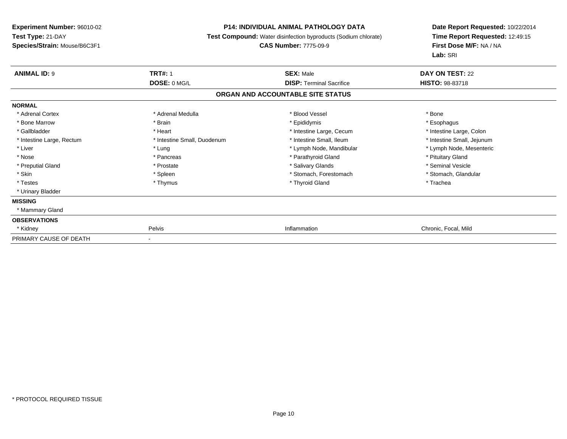### **P14: INDIVIDUAL ANIMAL PATHOLOGY DATA**

**Test Compound:** Water disinfection byproducts (Sodium chlorate)

#### **CAS Number:** 7775-09-9

| <b>ANIMAL ID: 9</b>       | <b>TRT#: 1</b>              | <b>SEX: Male</b>                  | DAY ON TEST: 22            |
|---------------------------|-----------------------------|-----------------------------------|----------------------------|
|                           | DOSE: 0 MG/L                | <b>DISP: Terminal Sacrifice</b>   | <b>HISTO: 98-83718</b>     |
|                           |                             | ORGAN AND ACCOUNTABLE SITE STATUS |                            |
| <b>NORMAL</b>             |                             |                                   |                            |
| * Adrenal Cortex          | * Adrenal Medulla           | * Blood Vessel                    | * Bone                     |
| * Bone Marrow             | * Brain                     | * Epididymis                      | * Esophagus                |
| * Gallbladder             | * Heart                     | * Intestine Large, Cecum          | * Intestine Large, Colon   |
| * Intestine Large, Rectum | * Intestine Small, Duodenum | * Intestine Small, Ileum          | * Intestine Small, Jejunum |
| * Liver                   | * Lung                      | * Lymph Node, Mandibular          | * Lymph Node, Mesenteric   |
| * Nose                    | * Pancreas                  | * Parathyroid Gland               | * Pituitary Gland          |
| * Preputial Gland         | * Prostate                  | * Salivary Glands                 | * Seminal Vesicle          |
| * Skin                    | * Spleen                    | * Stomach, Forestomach            | * Stomach, Glandular       |
| * Testes                  | * Thymus                    | * Thyroid Gland                   | * Trachea                  |
| * Urinary Bladder         |                             |                                   |                            |
| <b>MISSING</b>            |                             |                                   |                            |
| * Mammary Gland           |                             |                                   |                            |
| <b>OBSERVATIONS</b>       |                             |                                   |                            |
| * Kidney                  | Pelvis                      | Inflammation                      | Chronic, Focal, Mild       |
| PRIMARY CAUSE OF DEATH    | $\blacksquare$              |                                   |                            |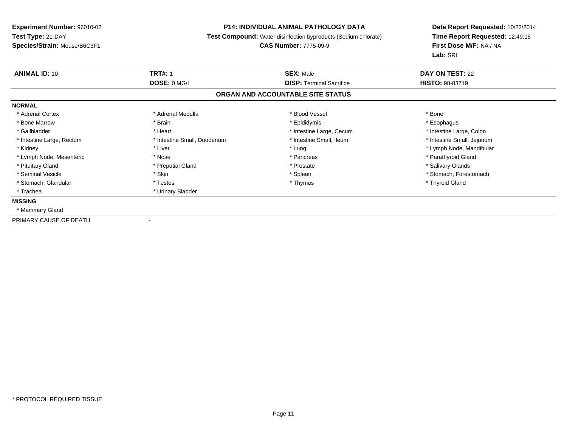# **P14: INDIVIDUAL ANIMAL PATHOLOGY DATA**

**Test Compound:** Water disinfection byproducts (Sodium chlorate)

#### **CAS Number:** 7775-09-9

| <b>ANIMAL ID: 10</b>      | <b>TRT#: 1</b>              | <b>SEX: Male</b>                  | <b>DAY ON TEST: 22</b>     |
|---------------------------|-----------------------------|-----------------------------------|----------------------------|
|                           | DOSE: 0 MG/L                | <b>DISP:</b> Terminal Sacrifice   | <b>HISTO: 98-83719</b>     |
|                           |                             | ORGAN AND ACCOUNTABLE SITE STATUS |                            |
| <b>NORMAL</b>             |                             |                                   |                            |
| * Adrenal Cortex          | * Adrenal Medulla           | * Blood Vessel                    | * Bone                     |
| * Bone Marrow             | * Brain                     | * Epididymis                      | * Esophagus                |
| * Gallbladder             | * Heart                     | * Intestine Large, Cecum          | * Intestine Large, Colon   |
| * Intestine Large, Rectum | * Intestine Small, Duodenum | * Intestine Small, Ileum          | * Intestine Small, Jejunum |
| * Kidney                  | * Liver                     | * Lung                            | * Lymph Node, Mandibular   |
| * Lymph Node, Mesenteric  | * Nose                      | * Pancreas                        | * Parathyroid Gland        |
| * Pituitary Gland         | * Preputial Gland           | * Prostate                        | * Salivary Glands          |
| * Seminal Vesicle         | * Skin                      | * Spleen                          | * Stomach, Forestomach     |
| * Stomach, Glandular      | * Testes                    | * Thymus                          | * Thyroid Gland            |
| * Trachea                 | * Urinary Bladder           |                                   |                            |
| <b>MISSING</b>            |                             |                                   |                            |
| * Mammary Gland           |                             |                                   |                            |
| PRIMARY CAUSE OF DEATH    |                             |                                   |                            |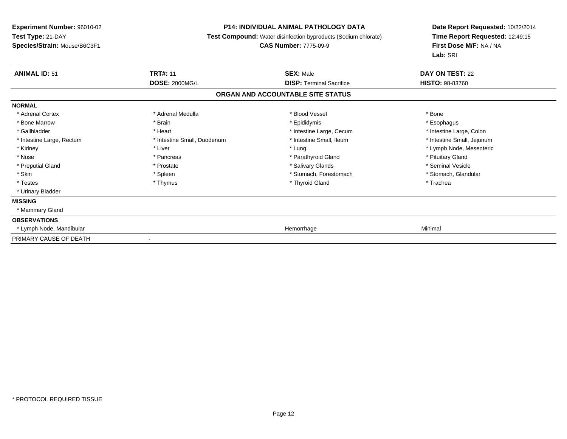### **P14: INDIVIDUAL ANIMAL PATHOLOGY DATA**

**Test Compound:** Water disinfection byproducts (Sodium chlorate)

#### **CAS Number:** 7775-09-9

| <b>ANIMAL ID: 51</b>      | <b>TRT#: 11</b>             | <b>SEX: Male</b>                  | <b>DAY ON TEST: 22</b>     |  |
|---------------------------|-----------------------------|-----------------------------------|----------------------------|--|
|                           | <b>DOSE: 2000MG/L</b>       | <b>DISP: Terminal Sacrifice</b>   | <b>HISTO: 98-83760</b>     |  |
|                           |                             | ORGAN AND ACCOUNTABLE SITE STATUS |                            |  |
| <b>NORMAL</b>             |                             |                                   |                            |  |
| * Adrenal Cortex          | * Adrenal Medulla           | * Blood Vessel                    | * Bone                     |  |
| * Bone Marrow             | * Brain                     | * Epididymis                      | * Esophagus                |  |
| * Gallbladder             | * Heart                     | * Intestine Large, Cecum          | * Intestine Large, Colon   |  |
| * Intestine Large, Rectum | * Intestine Small, Duodenum | * Intestine Small, Ileum          | * Intestine Small, Jejunum |  |
| * Kidney                  | * Liver                     | * Lung                            | * Lymph Node, Mesenteric   |  |
| * Nose                    | * Pancreas                  | * Parathyroid Gland               | * Pituitary Gland          |  |
| * Preputial Gland         | * Prostate                  | * Salivary Glands                 | * Seminal Vesicle          |  |
| * Skin                    | * Spleen                    | * Stomach, Forestomach            | * Stomach, Glandular       |  |
| * Testes                  | * Thymus                    | * Thyroid Gland                   | * Trachea                  |  |
| * Urinary Bladder         |                             |                                   |                            |  |
| <b>MISSING</b>            |                             |                                   |                            |  |
| * Mammary Gland           |                             |                                   |                            |  |
| <b>OBSERVATIONS</b>       |                             |                                   |                            |  |
| * Lymph Node, Mandibular  |                             | Hemorrhage                        | Minimal                    |  |
| PRIMARY CAUSE OF DEATH    | $\blacksquare$              |                                   |                            |  |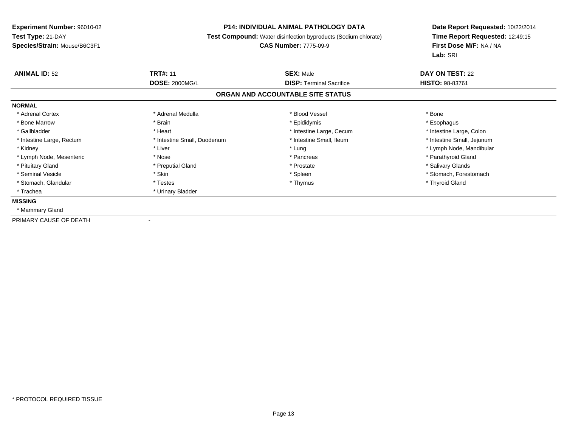# **P14: INDIVIDUAL ANIMAL PATHOLOGY DATA**

**Test Compound:** Water disinfection byproducts (Sodium chlorate)

#### **CAS Number:** 7775-09-9

| <b>ANIMAL ID: 52</b>      | <b>TRT#: 11</b>             | <b>SEX: Male</b>                  | <b>DAY ON TEST: 22</b>     |  |
|---------------------------|-----------------------------|-----------------------------------|----------------------------|--|
|                           | <b>DOSE: 2000MG/L</b>       | <b>DISP:</b> Terminal Sacrifice   | <b>HISTO: 98-83761</b>     |  |
|                           |                             | ORGAN AND ACCOUNTABLE SITE STATUS |                            |  |
| <b>NORMAL</b>             |                             |                                   |                            |  |
| * Adrenal Cortex          | * Adrenal Medulla           | * Blood Vessel                    | * Bone                     |  |
| * Bone Marrow             | * Brain                     | * Epididymis                      | * Esophagus                |  |
| * Gallbladder             | * Heart                     | * Intestine Large, Cecum          | * Intestine Large, Colon   |  |
| * Intestine Large, Rectum | * Intestine Small, Duodenum | * Intestine Small, Ileum          | * Intestine Small, Jejunum |  |
| * Kidney                  | * Liver                     | * Lung                            | * Lymph Node, Mandibular   |  |
| * Lymph Node, Mesenteric  | * Nose                      | * Pancreas                        | * Parathyroid Gland        |  |
| * Pituitary Gland         | * Preputial Gland           | * Prostate                        | * Salivary Glands          |  |
| * Seminal Vesicle         | * Skin                      | * Spleen                          | * Stomach, Forestomach     |  |
| * Stomach, Glandular      | * Testes                    | * Thymus                          | * Thyroid Gland            |  |
| * Trachea                 | * Urinary Bladder           |                                   |                            |  |
| <b>MISSING</b>            |                             |                                   |                            |  |
| * Mammary Gland           |                             |                                   |                            |  |
| PRIMARY CAUSE OF DEATH    |                             |                                   |                            |  |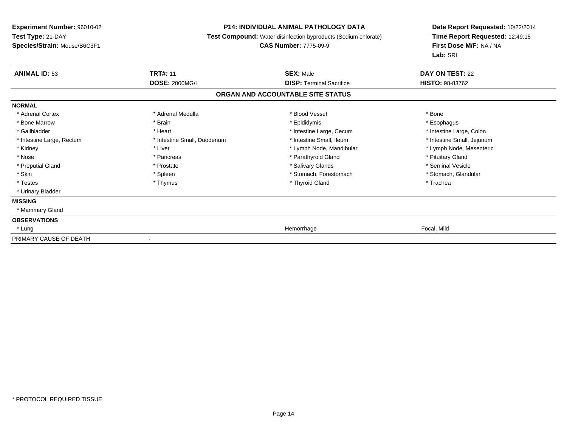### **P14: INDIVIDUAL ANIMAL PATHOLOGY DATA**

**Test Compound:** Water disinfection byproducts (Sodium chlorate)

# **CAS Number:** 7775-09-9

| <b>ANIMAL ID: 53</b>      | <b>TRT#: 11</b>             | <b>SEX: Male</b>                  | DAY ON TEST: 22            |  |
|---------------------------|-----------------------------|-----------------------------------|----------------------------|--|
|                           | <b>DOSE: 2000MG/L</b>       | <b>DISP: Terminal Sacrifice</b>   | <b>HISTO: 98-83762</b>     |  |
|                           |                             | ORGAN AND ACCOUNTABLE SITE STATUS |                            |  |
| <b>NORMAL</b>             |                             |                                   |                            |  |
| * Adrenal Cortex          | * Adrenal Medulla           | * Blood Vessel                    | * Bone                     |  |
| * Bone Marrow             | * Brain                     | * Epididymis                      | * Esophagus                |  |
| * Gallbladder             | * Heart                     | * Intestine Large, Cecum          | * Intestine Large, Colon   |  |
| * Intestine Large, Rectum | * Intestine Small, Duodenum | * Intestine Small, Ileum          | * Intestine Small, Jejunum |  |
| * Kidney                  | * Liver                     | * Lymph Node, Mandibular          | * Lymph Node, Mesenteric   |  |
| * Nose                    | * Pancreas                  | * Parathyroid Gland               | * Pituitary Gland          |  |
| * Preputial Gland         | * Prostate                  | * Salivary Glands                 | * Seminal Vesicle          |  |
| * Skin                    | * Spleen                    | * Stomach, Forestomach            | * Stomach, Glandular       |  |
| * Testes                  | * Thymus                    | * Thyroid Gland                   | * Trachea                  |  |
| * Urinary Bladder         |                             |                                   |                            |  |
| <b>MISSING</b>            |                             |                                   |                            |  |
| * Mammary Gland           |                             |                                   |                            |  |
| <b>OBSERVATIONS</b>       |                             |                                   |                            |  |
| * Lung                    |                             | Hemorrhage                        | Focal, Mild                |  |
| PRIMARY CAUSE OF DEATH    | $\overline{\phantom{a}}$    |                                   |                            |  |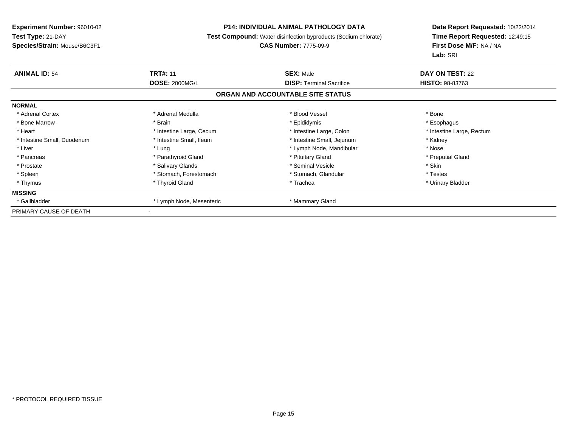### **P14: INDIVIDUAL ANIMAL PATHOLOGY DATA**

**Test Compound:** Water disinfection byproducts (Sodium chlorate)

# **CAS Number:** 7775-09-9

| <b>ANIMAL ID: 54</b>        | <b>TRT#: 11</b><br><b>DOSE: 2000MG/L</b> | <b>SEX: Male</b>                  | DAY ON TEST: 22           |
|-----------------------------|------------------------------------------|-----------------------------------|---------------------------|
|                             |                                          | <b>DISP:</b> Terminal Sacrifice   | <b>HISTO: 98-83763</b>    |
|                             |                                          | ORGAN AND ACCOUNTABLE SITE STATUS |                           |
| <b>NORMAL</b>               |                                          |                                   |                           |
| * Adrenal Cortex            | * Adrenal Medulla                        | * Blood Vessel                    | * Bone                    |
| * Bone Marrow               | * Brain                                  | * Epididymis                      | * Esophagus               |
| * Heart                     | * Intestine Large, Cecum                 | * Intestine Large, Colon          | * Intestine Large, Rectum |
| * Intestine Small, Duodenum | * Intestine Small, Ileum                 | * Intestine Small, Jejunum        | * Kidney                  |
| * Liver                     | * Lung                                   | * Lymph Node, Mandibular          | * Nose                    |
| * Pancreas                  | * Parathyroid Gland                      | * Pituitary Gland                 | * Preputial Gland         |
| * Prostate                  | * Salivary Glands                        | * Seminal Vesicle                 | * Skin                    |
| * Spleen                    | * Stomach, Forestomach                   | * Stomach, Glandular              | * Testes                  |
| * Thymus                    | * Thyroid Gland                          | * Trachea                         | * Urinary Bladder         |
| <b>MISSING</b>              |                                          |                                   |                           |
| * Gallbladder               | * Lymph Node, Mesenteric                 | * Mammary Gland                   |                           |
| PRIMARY CAUSE OF DEATH      |                                          |                                   |                           |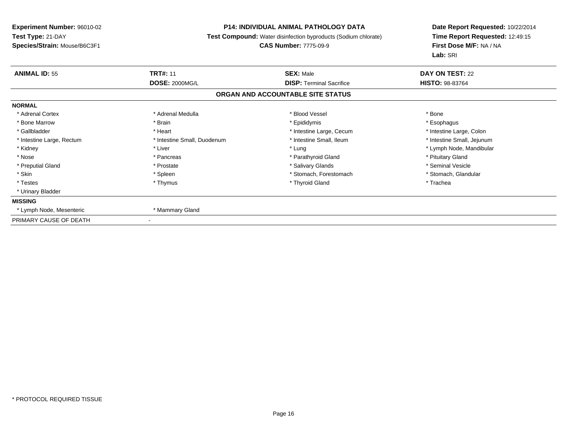# **P14: INDIVIDUAL ANIMAL PATHOLOGY DATA**

**Test Compound:** Water disinfection byproducts (Sodium chlorate)

#### **CAS Number:** 7775-09-9

| <b>ANIMAL ID: 55</b>      | <b>TRT#: 11</b>             | <b>SEX: Male</b>                  | <b>DAY ON TEST: 22</b>     |
|---------------------------|-----------------------------|-----------------------------------|----------------------------|
|                           | <b>DOSE: 2000MG/L</b>       | <b>DISP: Terminal Sacrifice</b>   | <b>HISTO: 98-83764</b>     |
|                           |                             | ORGAN AND ACCOUNTABLE SITE STATUS |                            |
| <b>NORMAL</b>             |                             |                                   |                            |
| * Adrenal Cortex          | * Adrenal Medulla           | * Blood Vessel                    | * Bone                     |
| * Bone Marrow             | * Brain                     | * Epididymis                      | * Esophagus                |
| * Gallbladder             | * Heart                     | * Intestine Large, Cecum          | * Intestine Large, Colon   |
| * Intestine Large, Rectum | * Intestine Small, Duodenum | * Intestine Small, Ileum          | * Intestine Small, Jejunum |
| * Kidney                  | * Liver                     | * Lung                            | * Lymph Node, Mandibular   |
| * Nose                    | * Pancreas                  | * Parathyroid Gland               | * Pituitary Gland          |
| * Preputial Gland         | * Prostate                  | * Salivary Glands                 | * Seminal Vesicle          |
| * Skin                    | * Spleen                    | * Stomach, Forestomach            | * Stomach, Glandular       |
| * Testes                  | * Thymus                    | * Thyroid Gland                   | * Trachea                  |
| * Urinary Bladder         |                             |                                   |                            |
| <b>MISSING</b>            |                             |                                   |                            |
| * Lymph Node, Mesenteric  | * Mammary Gland             |                                   |                            |
| PRIMARY CAUSE OF DEATH    |                             |                                   |                            |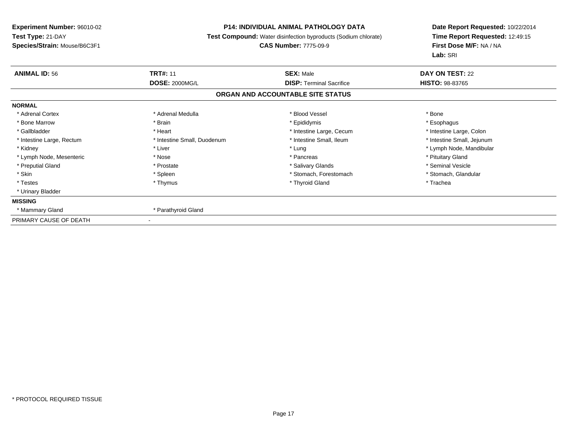# **P14: INDIVIDUAL ANIMAL PATHOLOGY DATA**

**Test Compound:** Water disinfection byproducts (Sodium chlorate)

#### **CAS Number:** 7775-09-9

| <b>ANIMAL ID: 56</b>      | <b>TRT#: 11</b>             | <b>SEX: Male</b>                  | <b>DAY ON TEST: 22</b>     |
|---------------------------|-----------------------------|-----------------------------------|----------------------------|
|                           | <b>DOSE: 2000MG/L</b>       | <b>DISP:</b> Terminal Sacrifice   | <b>HISTO: 98-83765</b>     |
|                           |                             | ORGAN AND ACCOUNTABLE SITE STATUS |                            |
| <b>NORMAL</b>             |                             |                                   |                            |
| * Adrenal Cortex          | * Adrenal Medulla           | * Blood Vessel                    | * Bone                     |
| * Bone Marrow             | * Brain                     | * Epididymis                      | * Esophagus                |
| * Gallbladder             | * Heart                     | * Intestine Large, Cecum          | * Intestine Large, Colon   |
| * Intestine Large, Rectum | * Intestine Small, Duodenum | * Intestine Small, Ileum          | * Intestine Small, Jejunum |
| * Kidney                  | * Liver                     | * Lung                            | * Lymph Node, Mandibular   |
| * Lymph Node, Mesenteric  | * Nose                      | * Pancreas                        | * Pituitary Gland          |
| * Preputial Gland         | * Prostate                  | * Salivary Glands                 | * Seminal Vesicle          |
| * Skin                    | * Spleen                    | * Stomach, Forestomach            | * Stomach, Glandular       |
| * Testes                  | * Thymus                    | * Thyroid Gland                   | * Trachea                  |
| * Urinary Bladder         |                             |                                   |                            |
| <b>MISSING</b>            |                             |                                   |                            |
| * Mammary Gland           | * Parathyroid Gland         |                                   |                            |
| PRIMARY CAUSE OF DEATH    |                             |                                   |                            |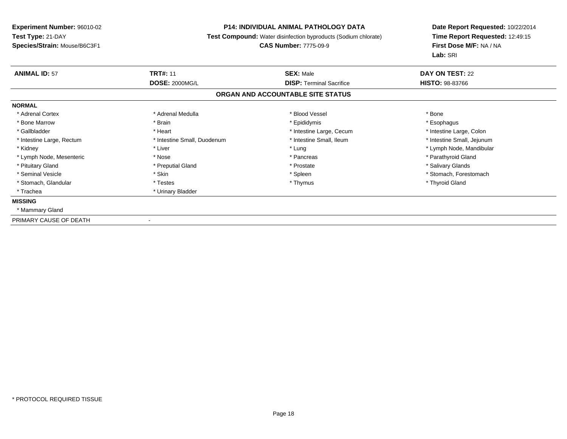# **P14: INDIVIDUAL ANIMAL PATHOLOGY DATA**

**Test Compound:** Water disinfection byproducts (Sodium chlorate)

#### **CAS Number:** 7775-09-9

| <b>ANIMAL ID: 57</b>      | <b>TRT#: 11</b>             | <b>SEX: Male</b>                  | <b>DAY ON TEST: 22</b>     |  |
|---------------------------|-----------------------------|-----------------------------------|----------------------------|--|
|                           | <b>DOSE: 2000MG/L</b>       | <b>DISP:</b> Terminal Sacrifice   | <b>HISTO: 98-83766</b>     |  |
|                           |                             | ORGAN AND ACCOUNTABLE SITE STATUS |                            |  |
| <b>NORMAL</b>             |                             |                                   |                            |  |
| * Adrenal Cortex          | * Adrenal Medulla           | * Blood Vessel                    | * Bone                     |  |
| * Bone Marrow             | * Brain                     | * Epididymis                      | * Esophagus                |  |
| * Gallbladder             | * Heart                     | * Intestine Large, Cecum          | * Intestine Large, Colon   |  |
| * Intestine Large, Rectum | * Intestine Small, Duodenum | * Intestine Small, Ileum          | * Intestine Small, Jejunum |  |
| * Kidney                  | * Liver                     | * Lung                            | * Lymph Node, Mandibular   |  |
| * Lymph Node, Mesenteric  | * Nose                      | * Pancreas                        | * Parathyroid Gland        |  |
| * Pituitary Gland         | * Preputial Gland           | * Prostate                        | * Salivary Glands          |  |
| * Seminal Vesicle         | * Skin                      | * Spleen                          | * Stomach, Forestomach     |  |
| * Stomach, Glandular      | * Testes                    | * Thymus                          | * Thyroid Gland            |  |
| * Trachea                 | * Urinary Bladder           |                                   |                            |  |
| <b>MISSING</b>            |                             |                                   |                            |  |
| * Mammary Gland           |                             |                                   |                            |  |
| PRIMARY CAUSE OF DEATH    |                             |                                   |                            |  |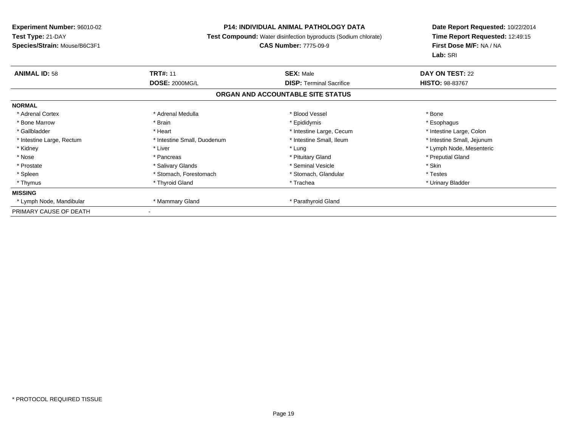### **P14: INDIVIDUAL ANIMAL PATHOLOGY DATA**

**Test Compound:** Water disinfection byproducts (Sodium chlorate)

# **CAS Number:** 7775-09-9

| <b>ANIMAL ID: 58</b>      | <b>TRT#: 11</b>             | <b>SEX: Male</b>                  | DAY ON TEST: 22            |
|---------------------------|-----------------------------|-----------------------------------|----------------------------|
|                           | <b>DOSE: 2000MG/L</b>       | <b>DISP:</b> Terminal Sacrifice   | <b>HISTO: 98-83767</b>     |
|                           |                             | ORGAN AND ACCOUNTABLE SITE STATUS |                            |
| <b>NORMAL</b>             |                             |                                   |                            |
| * Adrenal Cortex          | * Adrenal Medulla           | * Blood Vessel                    | * Bone                     |
| * Bone Marrow             | * Brain                     | * Epididymis                      | * Esophagus                |
| * Gallbladder             | * Heart                     | * Intestine Large, Cecum          | * Intestine Large, Colon   |
| * Intestine Large, Rectum | * Intestine Small, Duodenum | * Intestine Small, Ileum          | * Intestine Small, Jejunum |
| * Kidney                  | * Liver                     | * Lung                            | * Lymph Node, Mesenteric   |
| * Nose                    | * Pancreas                  | * Pituitary Gland                 | * Preputial Gland          |
| * Prostate                | * Salivary Glands           | * Seminal Vesicle                 | * Skin                     |
| * Spleen                  | * Stomach, Forestomach      | * Stomach, Glandular              | * Testes                   |
| * Thymus                  | * Thyroid Gland             | * Trachea                         | * Urinary Bladder          |
| <b>MISSING</b>            |                             |                                   |                            |
| * Lymph Node, Mandibular  | * Mammary Gland             | * Parathyroid Gland               |                            |
| PRIMARY CAUSE OF DEATH    |                             |                                   |                            |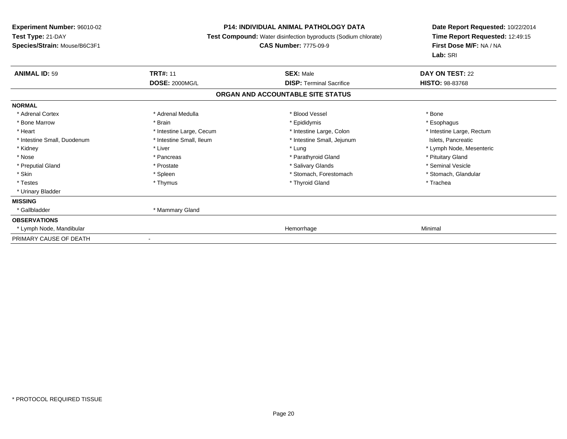### **P14: INDIVIDUAL ANIMAL PATHOLOGY DATA**

**Test Compound:** Water disinfection byproducts (Sodium chlorate)

#### **CAS Number:** 7775-09-9

| <b>ANIMAL ID: 59</b>        | <b>TRT#: 11</b>              | <b>SEX: Male</b>                  | <b>DAY ON TEST: 22</b>    |  |
|-----------------------------|------------------------------|-----------------------------------|---------------------------|--|
|                             | <b>DOSE: 2000MG/L</b>        | <b>DISP: Terminal Sacrifice</b>   | <b>HISTO: 98-83768</b>    |  |
|                             |                              | ORGAN AND ACCOUNTABLE SITE STATUS |                           |  |
| <b>NORMAL</b>               |                              |                                   |                           |  |
| * Adrenal Cortex            | * Adrenal Medulla            | * Blood Vessel                    | * Bone                    |  |
| * Bone Marrow               | * Brain                      | * Epididymis                      | * Esophagus               |  |
| * Heart                     | * Intestine Large, Cecum     | * Intestine Large, Colon          | * Intestine Large, Rectum |  |
| * Intestine Small, Duodenum | * Intestine Small, Ileum     | * Intestine Small, Jejunum        | Islets, Pancreatic        |  |
| * Kidney                    | * Liver                      | * Lung                            | * Lymph Node, Mesenteric  |  |
| * Nose                      | * Pancreas                   | * Parathyroid Gland               | * Pituitary Gland         |  |
| * Preputial Gland           | * Prostate                   | * Salivary Glands                 | * Seminal Vesicle         |  |
| * Skin                      | * Spleen                     | * Stomach, Forestomach            | * Stomach, Glandular      |  |
| * Testes                    | * Thymus                     | * Thyroid Gland                   | * Trachea                 |  |
| * Urinary Bladder           |                              |                                   |                           |  |
| <b>MISSING</b>              |                              |                                   |                           |  |
| * Gallbladder               | * Mammary Gland              |                                   |                           |  |
| <b>OBSERVATIONS</b>         |                              |                                   |                           |  |
| * Lymph Node, Mandibular    |                              | Hemorrhage                        | Minimal                   |  |
| PRIMARY CAUSE OF DEATH      | $\qquad \qquad \blacksquare$ |                                   |                           |  |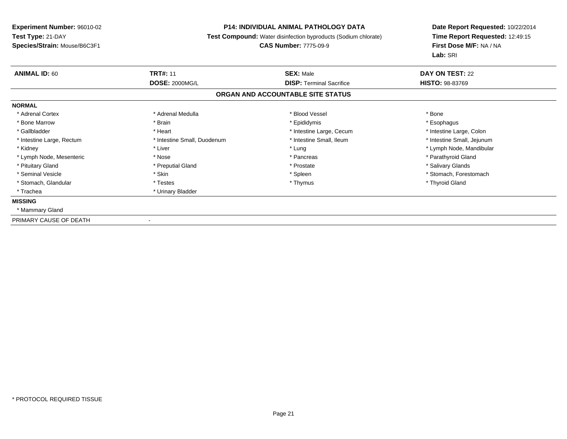# **P14: INDIVIDUAL ANIMAL PATHOLOGY DATA**

**Test Compound:** Water disinfection byproducts (Sodium chlorate)

# **CAS Number:** 7775-09-9

| <b>ANIMAL ID: 60</b>      | <b>TRT#: 11</b>             | <b>SEX: Male</b>                  | <b>DAY ON TEST: 22</b>     |  |
|---------------------------|-----------------------------|-----------------------------------|----------------------------|--|
|                           | <b>DOSE: 2000MG/L</b>       | <b>DISP:</b> Terminal Sacrifice   | <b>HISTO: 98-83769</b>     |  |
|                           |                             | ORGAN AND ACCOUNTABLE SITE STATUS |                            |  |
| <b>NORMAL</b>             |                             |                                   |                            |  |
| * Adrenal Cortex          | * Adrenal Medulla           | * Blood Vessel                    | * Bone                     |  |
| * Bone Marrow             | * Brain                     | * Epididymis                      | * Esophagus                |  |
| * Gallbladder             | * Heart                     | * Intestine Large, Cecum          | * Intestine Large, Colon   |  |
| * Intestine Large, Rectum | * Intestine Small, Duodenum | * Intestine Small, Ileum          | * Intestine Small, Jejunum |  |
| * Kidney                  | * Liver                     | * Lung                            | * Lymph Node, Mandibular   |  |
| * Lymph Node, Mesenteric  | * Nose                      | * Pancreas                        | * Parathyroid Gland        |  |
| * Pituitary Gland         | * Preputial Gland           | * Prostate                        | * Salivary Glands          |  |
| * Seminal Vesicle         | * Skin                      | * Spleen                          | * Stomach, Forestomach     |  |
| * Stomach, Glandular      | * Testes                    | * Thymus                          | * Thyroid Gland            |  |
| * Trachea                 | * Urinary Bladder           |                                   |                            |  |
| <b>MISSING</b>            |                             |                                   |                            |  |
| * Mammary Gland           |                             |                                   |                            |  |
| PRIMARY CAUSE OF DEATH    |                             |                                   |                            |  |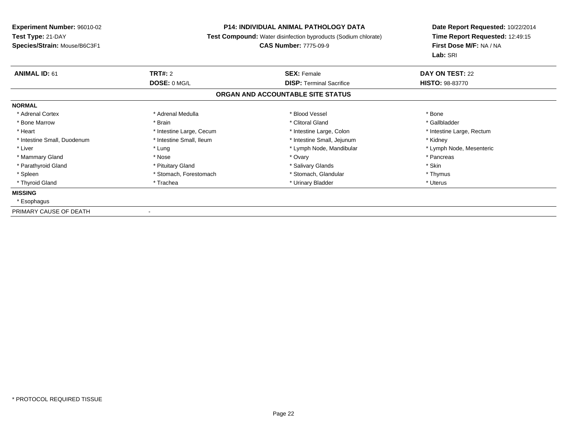### **P14: INDIVIDUAL ANIMAL PATHOLOGY DATA**

**Test Compound:** Water disinfection byproducts (Sodium chlorate)

#### **CAS Number:** 7775-09-9

**Date Report Requested:** 10/22/2014**Time Report Requested:** 12:49:15**First Dose M/F:** NA / NA**Lab:** SRI

| <b>ANIMAL ID: 61</b>        | TRT#: 2                  | <b>SEX: Female</b>                | DAY ON TEST: 22           |
|-----------------------------|--------------------------|-----------------------------------|---------------------------|
|                             | DOSE: 0 MG/L             | <b>DISP:</b> Terminal Sacrifice   | <b>HISTO: 98-83770</b>    |
|                             |                          | ORGAN AND ACCOUNTABLE SITE STATUS |                           |
| <b>NORMAL</b>               |                          |                                   |                           |
| * Adrenal Cortex            | * Adrenal Medulla        | * Blood Vessel                    | * Bone                    |
| * Bone Marrow               | * Brain                  | * Clitoral Gland                  | * Gallbladder             |
| * Heart                     | * Intestine Large, Cecum | * Intestine Large, Colon          | * Intestine Large, Rectum |
| * Intestine Small, Duodenum | * Intestine Small, Ileum | * Intestine Small, Jejunum        | * Kidney                  |
| * Liver                     | * Lung                   | * Lymph Node, Mandibular          | * Lymph Node, Mesenteric  |
| * Mammary Gland             | * Nose                   | * Ovary                           | * Pancreas                |
| * Parathyroid Gland         | * Pituitary Gland        | * Salivary Glands                 | * Skin                    |
| * Spleen                    | * Stomach, Forestomach   | * Stomach, Glandular              | * Thymus                  |
| * Thyroid Gland             | * Trachea                | * Urinary Bladder                 | * Uterus                  |
| <b>MISSING</b>              |                          |                                   |                           |
| * Esophagus                 |                          |                                   |                           |
|                             |                          |                                   |                           |

PRIMARY CAUSE OF DEATH-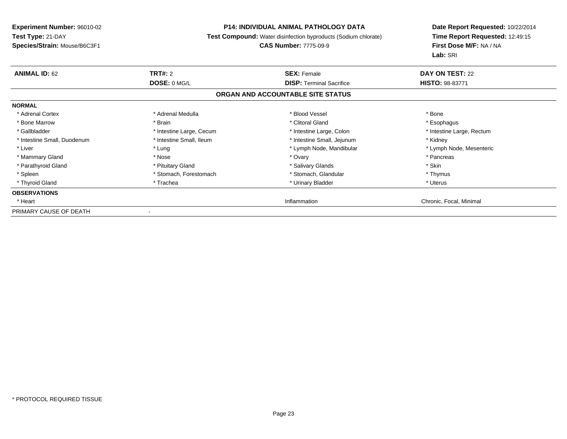### **P14: INDIVIDUAL ANIMAL PATHOLOGY DATA**

**Test Compound:** Water disinfection byproducts (Sodium chlorate)

# **CAS Number:** 7775-09-9

| <b>ANIMAL ID: 62</b>        | <b>TRT#: 2</b>           | <b>SEX: Female</b>                | DAY ON TEST: 22           |
|-----------------------------|--------------------------|-----------------------------------|---------------------------|
|                             | DOSE: 0 MG/L             | <b>DISP:</b> Terminal Sacrifice   | <b>HISTO: 98-83771</b>    |
|                             |                          | ORGAN AND ACCOUNTABLE SITE STATUS |                           |
| <b>NORMAL</b>               |                          |                                   |                           |
| * Adrenal Cortex            | * Adrenal Medulla        | * Blood Vessel                    | * Bone                    |
| * Bone Marrow               | * Brain                  | * Clitoral Gland                  | * Esophagus               |
| * Gallbladder               | * Intestine Large, Cecum | * Intestine Large, Colon          | * Intestine Large, Rectum |
| * Intestine Small, Duodenum | * Intestine Small, Ileum | * Intestine Small, Jejunum        | * Kidney                  |
| * Liver                     | * Lung                   | * Lymph Node, Mandibular          | * Lymph Node, Mesenteric  |
| * Mammary Gland             | * Nose                   | * Ovary                           | * Pancreas                |
| * Parathyroid Gland         | * Pituitary Gland        | * Salivary Glands                 | * Skin                    |
| * Spleen                    | * Stomach, Forestomach   | * Stomach, Glandular              | * Thymus                  |
| * Thyroid Gland             | * Trachea                | * Urinary Bladder                 | * Uterus                  |
| <b>OBSERVATIONS</b>         |                          |                                   |                           |
| * Heart                     |                          | Inflammation                      | Chronic, Focal, Minimal   |
| PRIMARY CAUSE OF DEATH      |                          |                                   |                           |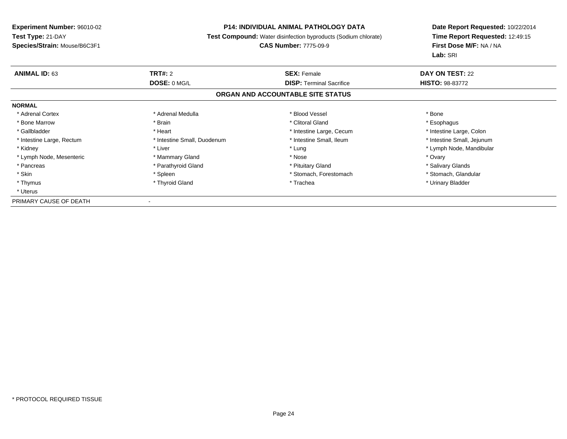# **P14: INDIVIDUAL ANIMAL PATHOLOGY DATA**

**Test Compound:** Water disinfection byproducts (Sodium chlorate)

**CAS Number:** 7775-09-9

| <b>ANIMAL ID: 63</b>      | TRT#: 2                     | <b>SEX: Female</b>                | DAY ON TEST: 22            |  |
|---------------------------|-----------------------------|-----------------------------------|----------------------------|--|
|                           | DOSE: 0 MG/L                | <b>DISP:</b> Terminal Sacrifice   | <b>HISTO: 98-83772</b>     |  |
|                           |                             | ORGAN AND ACCOUNTABLE SITE STATUS |                            |  |
| <b>NORMAL</b>             |                             |                                   |                            |  |
| * Adrenal Cortex          | * Adrenal Medulla           | * Blood Vessel                    | * Bone                     |  |
| * Bone Marrow             | * Brain                     | * Clitoral Gland                  | * Esophagus                |  |
| * Gallbladder             | * Heart                     | * Intestine Large, Cecum          | * Intestine Large, Colon   |  |
| * Intestine Large, Rectum | * Intestine Small, Duodenum | * Intestine Small, Ileum          | * Intestine Small, Jejunum |  |
| * Kidney                  | * Liver                     | * Lung                            | * Lymph Node, Mandibular   |  |
| * Lymph Node, Mesenteric  | * Mammary Gland             | * Nose                            | * Ovary                    |  |
| * Pancreas                | * Parathyroid Gland         | * Pituitary Gland                 | * Salivary Glands          |  |
| * Skin                    | * Spleen                    | * Stomach, Forestomach            | * Stomach, Glandular       |  |
| * Thymus                  | * Thyroid Gland             | * Trachea                         | * Urinary Bladder          |  |
| * Uterus                  |                             |                                   |                            |  |
| PRIMARY CAUSE OF DEATH    | $\overline{\phantom{a}}$    |                                   |                            |  |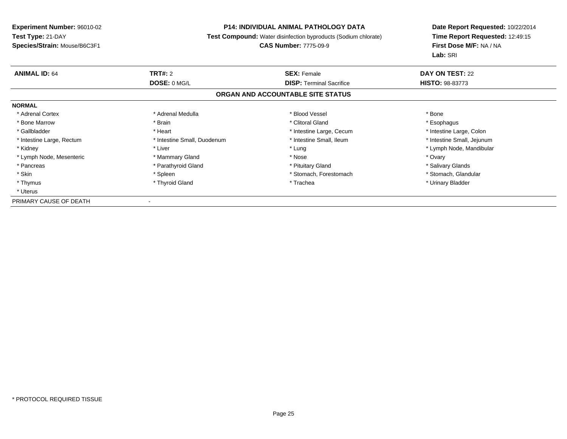# **P14: INDIVIDUAL ANIMAL PATHOLOGY DATA**

**Test Compound:** Water disinfection byproducts (Sodium chlorate)

**CAS Number:** 7775-09-9

**Date Report Requested:** 10/22/2014**Time Report Requested:** 12:49:15**First Dose M/F:** NA / NA**Lab:** SRI

| <b>ANIMAL ID: 64</b>      | TRT#: 2                     | <b>SEX: Female</b>                | DAY ON TEST: 22            |  |
|---------------------------|-----------------------------|-----------------------------------|----------------------------|--|
|                           | DOSE: 0 MG/L                | <b>DISP:</b> Terminal Sacrifice   | <b>HISTO: 98-83773</b>     |  |
|                           |                             | ORGAN AND ACCOUNTABLE SITE STATUS |                            |  |
| <b>NORMAL</b>             |                             |                                   |                            |  |
| * Adrenal Cortex          | * Adrenal Medulla           | * Blood Vessel                    | * Bone                     |  |
| * Bone Marrow             | * Brain                     | * Clitoral Gland                  | * Esophagus                |  |
| * Gallbladder             | * Heart                     | * Intestine Large, Cecum          | * Intestine Large, Colon   |  |
| * Intestine Large, Rectum | * Intestine Small, Duodenum | * Intestine Small, Ileum          | * Intestine Small, Jejunum |  |
| * Kidney                  | * Liver                     | * Lung                            | * Lymph Node, Mandibular   |  |
| * Lymph Node, Mesenteric  | * Mammary Gland             | * Nose                            | * Ovary                    |  |
| * Pancreas                | * Parathyroid Gland         | * Pituitary Gland                 | * Salivary Glands          |  |
| * Skin                    | * Spleen                    | * Stomach, Forestomach            | * Stomach, Glandular       |  |
| * Thymus                  | * Thyroid Gland             | * Trachea                         | * Urinary Bladder          |  |
| * Uterus                  |                             |                                   |                            |  |
| PRIMARY CAUSE OF DEATH    | $\overline{\phantom{a}}$    |                                   |                            |  |

\* PROTOCOL REQUIRED TISSUE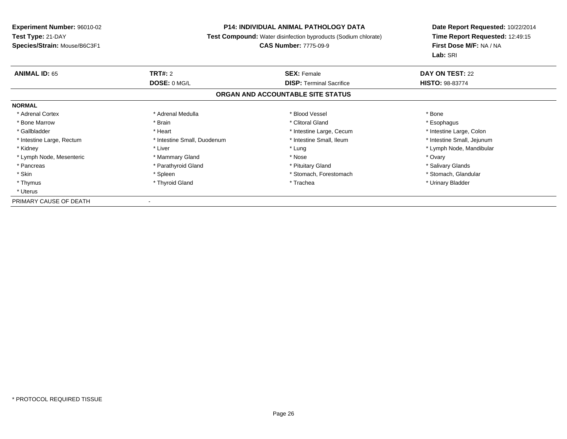# **P14: INDIVIDUAL ANIMAL PATHOLOGY DATA**

**Test Compound:** Water disinfection byproducts (Sodium chlorate)

# **CAS Number:** 7775-09-9

**Date Report Requested:** 10/22/2014**Time Report Requested:** 12:49:15**First Dose M/F:** NA / NA**Lab:** SRI

| <b>ANIMAL ID: 65</b>      | TRT#: 2                     | <b>SEX: Female</b>                | <b>DAY ON TEST: 22</b>     |
|---------------------------|-----------------------------|-----------------------------------|----------------------------|
|                           | DOSE: 0 MG/L                | <b>DISP:</b> Terminal Sacrifice   | <b>HISTO: 98-83774</b>     |
|                           |                             | ORGAN AND ACCOUNTABLE SITE STATUS |                            |
| <b>NORMAL</b>             |                             |                                   |                            |
| * Adrenal Cortex          | * Adrenal Medulla           | * Blood Vessel                    | * Bone                     |
| * Bone Marrow             | * Brain                     | * Clitoral Gland                  | * Esophagus                |
| * Gallbladder             | * Heart                     | * Intestine Large, Cecum          | * Intestine Large, Colon   |
| * Intestine Large, Rectum | * Intestine Small, Duodenum | * Intestine Small, Ileum          | * Intestine Small, Jejunum |
| * Kidney                  | * Liver                     | * Lung                            | * Lymph Node, Mandibular   |
| * Lymph Node, Mesenteric  | * Mammary Gland             | * Nose                            | * Ovary                    |
| * Pancreas                | * Parathyroid Gland         | * Pituitary Gland                 | * Salivary Glands          |
| * Skin                    | * Spleen                    | * Stomach, Forestomach            | * Stomach, Glandular       |
| * Thymus                  | * Thyroid Gland             | * Trachea                         | * Urinary Bladder          |
| * Uterus                  |                             |                                   |                            |
| PRIMARY CAUSE OF DEATH    | $\blacksquare$              |                                   |                            |

\* PROTOCOL REQUIRED TISSUE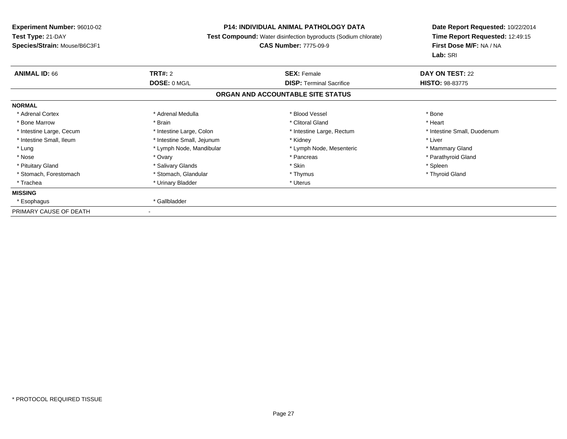# **P14: INDIVIDUAL ANIMAL PATHOLOGY DATA**

**Test Compound:** Water disinfection byproducts (Sodium chlorate)

# **CAS Number:** 7775-09-9

| <b>ANIMAL ID: 66</b>     | <b>TRT#: 2</b>             | <b>SEX: Female</b>                | <b>DAY ON TEST: 22</b>      |
|--------------------------|----------------------------|-----------------------------------|-----------------------------|
|                          | DOSE: 0 MG/L               | <b>DISP: Terminal Sacrifice</b>   | <b>HISTO: 98-83775</b>      |
|                          |                            | ORGAN AND ACCOUNTABLE SITE STATUS |                             |
| <b>NORMAL</b>            |                            |                                   |                             |
| * Adrenal Cortex         | * Adrenal Medulla          | * Blood Vessel                    | * Bone                      |
| * Bone Marrow            | * Brain                    | * Clitoral Gland                  | * Heart                     |
| * Intestine Large, Cecum | * Intestine Large, Colon   | * Intestine Large, Rectum         | * Intestine Small, Duodenum |
| * Intestine Small, Ileum | * Intestine Small, Jejunum | * Kidney                          | * Liver                     |
| * Lung                   | * Lymph Node, Mandibular   | * Lymph Node, Mesenteric          | * Mammary Gland             |
| * Nose                   | * Ovary                    | * Pancreas                        | * Parathyroid Gland         |
| * Pituitary Gland        | * Salivary Glands          | * Skin                            | * Spleen                    |
| * Stomach, Forestomach   | * Stomach, Glandular       | * Thymus                          | * Thyroid Gland             |
| * Trachea                | * Urinary Bladder          | * Uterus                          |                             |
| <b>MISSING</b>           |                            |                                   |                             |
| * Esophagus              | * Gallbladder              |                                   |                             |
| PRIMARY CAUSE OF DEATH   |                            |                                   |                             |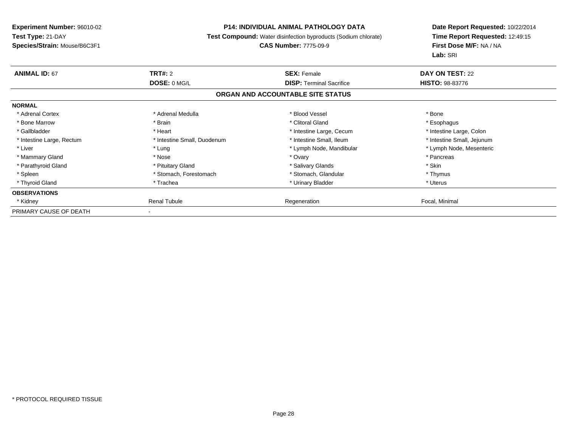### **P14: INDIVIDUAL ANIMAL PATHOLOGY DATA**

**Test Compound:** Water disinfection byproducts (Sodium chlorate)

# **CAS Number:** 7775-09-9

| <b>ANIMAL ID: 67</b>      | <b>TRT#: 2</b><br>DOSE: 0 MG/L | <b>SEX: Female</b>                | <b>DAY ON TEST: 22</b>     |
|---------------------------|--------------------------------|-----------------------------------|----------------------------|
|                           |                                | <b>DISP:</b> Terminal Sacrifice   | <b>HISTO: 98-83776</b>     |
|                           |                                | ORGAN AND ACCOUNTABLE SITE STATUS |                            |
| <b>NORMAL</b>             |                                |                                   |                            |
| * Adrenal Cortex          | * Adrenal Medulla              | * Blood Vessel                    | * Bone                     |
| * Bone Marrow             | * Brain                        | * Clitoral Gland                  | * Esophagus                |
| * Gallbladder             | * Heart                        | * Intestine Large, Cecum          | * Intestine Large, Colon   |
| * Intestine Large, Rectum | * Intestine Small, Duodenum    | * Intestine Small, Ileum          | * Intestine Small, Jejunum |
| * Liver                   | * Lung                         | * Lymph Node, Mandibular          | * Lymph Node, Mesenteric   |
| * Mammary Gland           | * Nose                         | * Ovary                           | * Pancreas                 |
| * Parathyroid Gland       | * Pituitary Gland              | * Salivary Glands                 | * Skin                     |
| * Spleen                  | * Stomach, Forestomach         | * Stomach, Glandular              | * Thymus                   |
| * Thyroid Gland           | * Trachea                      | * Urinary Bladder                 | * Uterus                   |
| <b>OBSERVATIONS</b>       |                                |                                   |                            |
| * Kidney                  | <b>Renal Tubule</b>            | Regeneration                      | Focal, Minimal             |
| PRIMARY CAUSE OF DEATH    |                                |                                   |                            |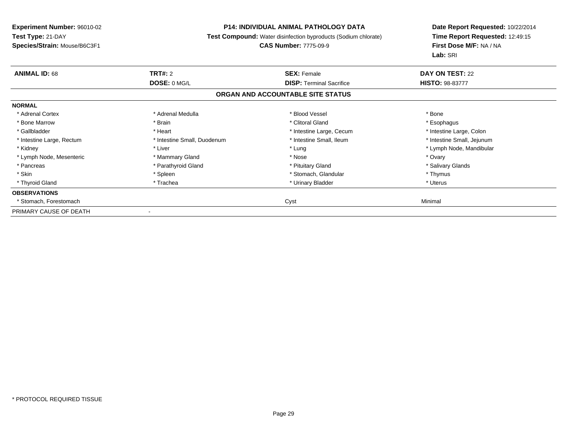### **P14: INDIVIDUAL ANIMAL PATHOLOGY DATA**

**Test Compound:** Water disinfection byproducts (Sodium chlorate)

# **CAS Number:** 7775-09-9

| <b>ANIMAL ID: 68</b>      | <b>TRT#:</b> 2              | <b>SEX: Female</b>                | <b>DAY ON TEST: 22</b>     |
|---------------------------|-----------------------------|-----------------------------------|----------------------------|
|                           | DOSE: 0 MG/L                | <b>DISP: Terminal Sacrifice</b>   | <b>HISTO: 98-83777</b>     |
|                           |                             | ORGAN AND ACCOUNTABLE SITE STATUS |                            |
| <b>NORMAL</b>             |                             |                                   |                            |
| * Adrenal Cortex          | * Adrenal Medulla           | * Blood Vessel                    | * Bone                     |
| * Bone Marrow             | * Brain                     | * Clitoral Gland                  | * Esophagus                |
| * Gallbladder             | * Heart                     | * Intestine Large, Cecum          | * Intestine Large, Colon   |
| * Intestine Large, Rectum | * Intestine Small, Duodenum | * Intestine Small, Ileum          | * Intestine Small, Jejunum |
| * Kidney                  | * Liver                     | * Lung                            | * Lymph Node, Mandibular   |
| * Lymph Node, Mesenteric  | * Mammary Gland             | * Nose                            | * Ovary                    |
| * Pancreas                | * Parathyroid Gland         | * Pituitary Gland                 | * Salivary Glands          |
| * Skin                    | * Spleen                    | * Stomach, Glandular              | * Thymus                   |
| * Thyroid Gland           | * Trachea                   | * Urinary Bladder                 | * Uterus                   |
| <b>OBSERVATIONS</b>       |                             |                                   |                            |
| * Stomach, Forestomach    |                             | Cyst                              | Minimal                    |
| PRIMARY CAUSE OF DEATH    |                             |                                   |                            |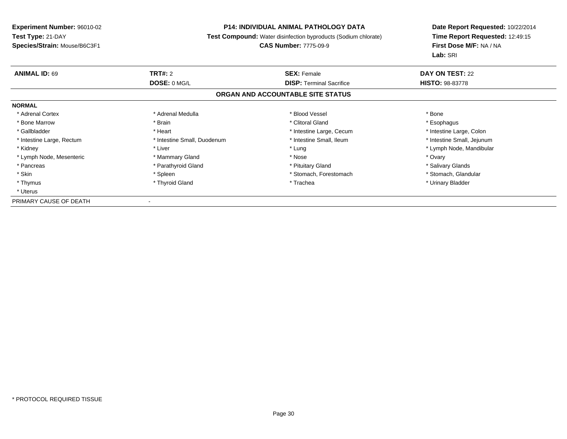# **P14: INDIVIDUAL ANIMAL PATHOLOGY DATA**

**Test Compound:** Water disinfection byproducts (Sodium chlorate)

# **CAS Number:** 7775-09-9

| <b>ANIMAL ID: 69</b>      | TRT#: 2                     | <b>SEX: Female</b>                | DAY ON TEST: 22            |  |
|---------------------------|-----------------------------|-----------------------------------|----------------------------|--|
|                           | DOSE: 0 MG/L                | <b>DISP:</b> Terminal Sacrifice   | <b>HISTO: 98-83778</b>     |  |
|                           |                             | ORGAN AND ACCOUNTABLE SITE STATUS |                            |  |
| <b>NORMAL</b>             |                             |                                   |                            |  |
| * Adrenal Cortex          | * Adrenal Medulla           | * Blood Vessel                    | * Bone                     |  |
| * Bone Marrow             | * Brain                     | * Clitoral Gland                  | * Esophagus                |  |
| * Gallbladder             | * Heart                     | * Intestine Large, Cecum          | * Intestine Large, Colon   |  |
| * Intestine Large, Rectum | * Intestine Small, Duodenum | * Intestine Small, Ileum          | * Intestine Small, Jejunum |  |
| * Kidney                  | * Liver                     | * Lung                            | * Lymph Node, Mandibular   |  |
| * Lymph Node, Mesenteric  | * Mammary Gland             | * Nose                            | * Ovary                    |  |
| * Pancreas                | * Parathyroid Gland         | * Pituitary Gland                 | * Salivary Glands          |  |
| * Skin                    | * Spleen                    | * Stomach, Forestomach            | * Stomach, Glandular       |  |
| * Thymus                  | * Thyroid Gland             | * Trachea                         | * Urinary Bladder          |  |
| * Uterus                  |                             |                                   |                            |  |
| PRIMARY CAUSE OF DEATH    |                             |                                   |                            |  |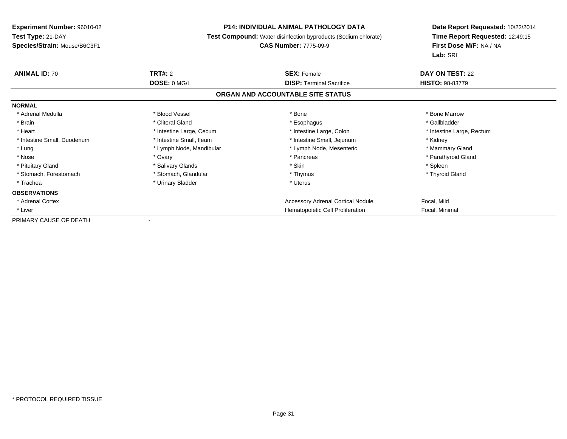# **P14: INDIVIDUAL ANIMAL PATHOLOGY DATA**

**Test Compound:** Water disinfection byproducts (Sodium chlorate)

# **CAS Number:** 7775-09-9

| <b>ANIMAL ID: 70</b>        | TRT#: 2                  | <b>SEX: Female</b>                | DAY ON TEST: 22           |
|-----------------------------|--------------------------|-----------------------------------|---------------------------|
|                             | DOSE: 0 MG/L             | <b>DISP:</b> Terminal Sacrifice   | <b>HISTO: 98-83779</b>    |
|                             |                          | ORGAN AND ACCOUNTABLE SITE STATUS |                           |
| <b>NORMAL</b>               |                          |                                   |                           |
| * Adrenal Medulla           | * Blood Vessel           | * Bone                            | * Bone Marrow             |
| * Brain                     | * Clitoral Gland         | * Esophagus                       | * Gallbladder             |
| * Heart                     | * Intestine Large, Cecum | * Intestine Large, Colon          | * Intestine Large, Rectum |
| * Intestine Small, Duodenum | * Intestine Small, Ileum | * Intestine Small, Jejunum        | * Kidney                  |
| * Lung                      | * Lymph Node, Mandibular | * Lymph Node, Mesenteric          | * Mammary Gland           |
| * Nose                      | * Ovary                  | * Pancreas                        | * Parathyroid Gland       |
| * Pituitary Gland           | * Salivary Glands        | * Skin                            | * Spleen                  |
| * Stomach, Forestomach      | * Stomach, Glandular     | * Thymus                          | * Thyroid Gland           |
| * Trachea                   | * Urinary Bladder        | * Uterus                          |                           |
| <b>OBSERVATIONS</b>         |                          |                                   |                           |
| * Adrenal Cortex            |                          | Accessory Adrenal Cortical Nodule | Focal, Mild               |
| * Liver                     |                          | Hematopoietic Cell Proliferation  | Focal, Minimal            |
| PRIMARY CAUSE OF DEATH      |                          |                                   |                           |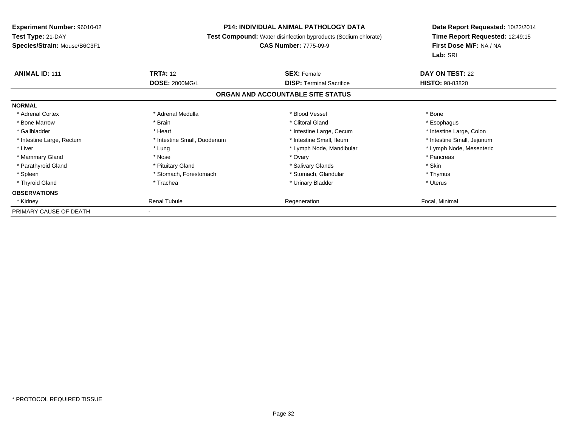# **P14: INDIVIDUAL ANIMAL PATHOLOGY DATA**

**Test Compound:** Water disinfection byproducts (Sodium chlorate)

# **CAS Number:** 7775-09-9

| <b>ANIMAL ID: 111</b>     | <b>TRT#: 12</b>             | <b>SEX: Female</b>                | <b>DAY ON TEST: 22</b>     |
|---------------------------|-----------------------------|-----------------------------------|----------------------------|
|                           | <b>DOSE: 2000MG/L</b>       | <b>DISP:</b> Terminal Sacrifice   | <b>HISTO: 98-83820</b>     |
|                           |                             | ORGAN AND ACCOUNTABLE SITE STATUS |                            |
| <b>NORMAL</b>             |                             |                                   |                            |
| * Adrenal Cortex          | * Adrenal Medulla           | * Blood Vessel                    | * Bone                     |
| * Bone Marrow             | * Brain                     | * Clitoral Gland                  | * Esophagus                |
| * Gallbladder             | * Heart                     | * Intestine Large, Cecum          | * Intestine Large, Colon   |
| * Intestine Large, Rectum | * Intestine Small, Duodenum | * Intestine Small, Ileum          | * Intestine Small, Jejunum |
| * Liver                   | * Lung                      | * Lymph Node, Mandibular          | * Lymph Node, Mesenteric   |
| * Mammary Gland           | * Nose                      | * Ovary                           | * Pancreas                 |
| * Parathyroid Gland       | * Pituitary Gland           | * Salivary Glands                 | * Skin                     |
| * Spleen                  | * Stomach, Forestomach      | * Stomach, Glandular              | * Thymus                   |
| * Thyroid Gland           | * Trachea                   | * Urinary Bladder                 | * Uterus                   |
| <b>OBSERVATIONS</b>       |                             |                                   |                            |
| * Kidney                  | <b>Renal Tubule</b>         | Regeneration                      | Focal, Minimal             |
| PRIMARY CAUSE OF DEATH    |                             |                                   |                            |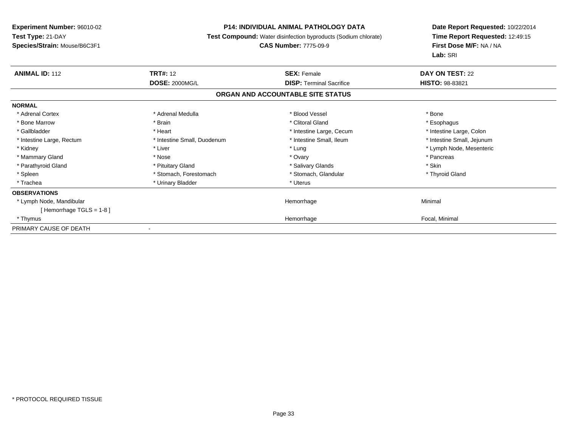# **P14: INDIVIDUAL ANIMAL PATHOLOGY DATA**

**Test Compound:** Water disinfection byproducts (Sodium chlorate)

# **CAS Number:** 7775-09-9

| <b>ANIMAL ID: 112</b>      | <b>TRT#:</b> 12             | <b>SEX: Female</b>                | DAY ON TEST: 22            |
|----------------------------|-----------------------------|-----------------------------------|----------------------------|
|                            | <b>DOSE: 2000MG/L</b>       | <b>DISP:</b> Terminal Sacrifice   | <b>HISTO: 98-83821</b>     |
|                            |                             | ORGAN AND ACCOUNTABLE SITE STATUS |                            |
| <b>NORMAL</b>              |                             |                                   |                            |
| * Adrenal Cortex           | * Adrenal Medulla           | * Blood Vessel                    | * Bone                     |
| * Bone Marrow              | * Brain                     | * Clitoral Gland                  | * Esophagus                |
| * Gallbladder              | * Heart                     | * Intestine Large, Cecum          | * Intestine Large, Colon   |
| * Intestine Large, Rectum  | * Intestine Small, Duodenum | * Intestine Small, Ileum          | * Intestine Small, Jejunum |
| * Kidney                   | * Liver                     | * Lung                            | * Lymph Node, Mesenteric   |
| * Mammary Gland            | * Nose                      | * Ovary                           | * Pancreas                 |
| * Parathyroid Gland        | * Pituitary Gland           | * Salivary Glands                 | * Skin                     |
| * Spleen                   | * Stomach, Forestomach      | * Stomach, Glandular              | * Thyroid Gland            |
| * Trachea                  | * Urinary Bladder           | * Uterus                          |                            |
| <b>OBSERVATIONS</b>        |                             |                                   |                            |
| * Lymph Node, Mandibular   |                             | Hemorrhage                        | Minimal                    |
| [Hemorrhage TGLS = $1-8$ ] |                             |                                   |                            |
| * Thymus                   |                             | Hemorrhage                        | Focal, Minimal             |
| PRIMARY CAUSE OF DEATH     |                             |                                   |                            |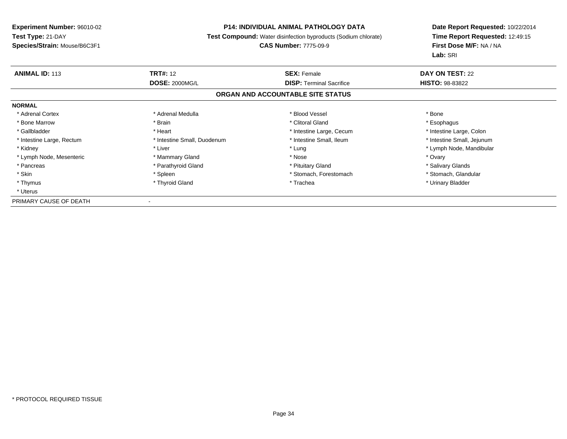# **P14: INDIVIDUAL ANIMAL PATHOLOGY DATA**

**Test Compound:** Water disinfection byproducts (Sodium chlorate)

# **CAS Number:** 7775-09-9

| <b>ANIMAL ID: 113</b>     | <b>TRT#: 12</b>             | <b>SEX: Female</b>                | DAY ON TEST: 22            |  |
|---------------------------|-----------------------------|-----------------------------------|----------------------------|--|
|                           | <b>DOSE: 2000MG/L</b>       | <b>DISP:</b> Terminal Sacrifice   | <b>HISTO: 98-83822</b>     |  |
|                           |                             | ORGAN AND ACCOUNTABLE SITE STATUS |                            |  |
| <b>NORMAL</b>             |                             |                                   |                            |  |
| * Adrenal Cortex          | * Adrenal Medulla           | * Blood Vessel                    | * Bone                     |  |
| * Bone Marrow             | * Brain                     | * Clitoral Gland                  | * Esophagus                |  |
| * Gallbladder             | * Heart                     | * Intestine Large, Cecum          | * Intestine Large, Colon   |  |
| * Intestine Large, Rectum | * Intestine Small, Duodenum | * Intestine Small, Ileum          | * Intestine Small, Jejunum |  |
| * Kidney                  | * Liver                     | * Lung                            | * Lymph Node, Mandibular   |  |
| * Lymph Node, Mesenteric  | * Mammary Gland             | * Nose                            | * Ovary                    |  |
| * Pancreas                | * Parathyroid Gland         | * Pituitary Gland                 | * Salivary Glands          |  |
| * Skin                    | * Spleen                    | * Stomach, Forestomach            | * Stomach, Glandular       |  |
| * Thymus                  | * Thyroid Gland             | * Trachea                         | * Urinary Bladder          |  |
| * Uterus                  |                             |                                   |                            |  |
| PRIMARY CAUSE OF DEATH    |                             |                                   |                            |  |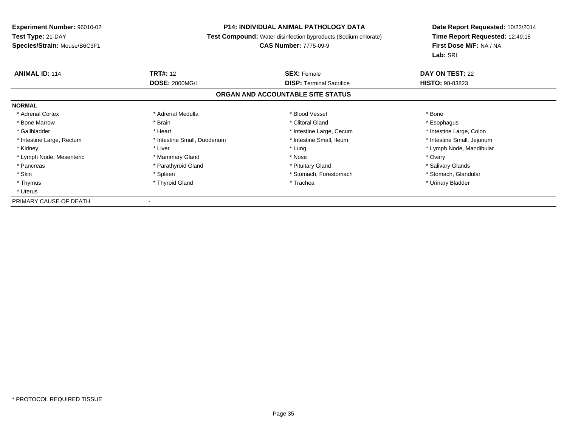# **P14: INDIVIDUAL ANIMAL PATHOLOGY DATA**

**Test Compound:** Water disinfection byproducts (Sodium chlorate)

# **CAS Number:** 7775-09-9

| <b>ANIMAL ID: 114</b>     | <b>TRT#: 12</b>             | <b>SEX: Female</b>                | DAY ON TEST: 22            |  |
|---------------------------|-----------------------------|-----------------------------------|----------------------------|--|
|                           | <b>DOSE: 2000MG/L</b>       | <b>DISP:</b> Terminal Sacrifice   | <b>HISTO: 98-83823</b>     |  |
|                           |                             | ORGAN AND ACCOUNTABLE SITE STATUS |                            |  |
| <b>NORMAL</b>             |                             |                                   |                            |  |
| * Adrenal Cortex          | * Adrenal Medulla           | * Blood Vessel                    | * Bone                     |  |
| * Bone Marrow             | * Brain                     | * Clitoral Gland                  | * Esophagus                |  |
| * Gallbladder             | * Heart                     | * Intestine Large, Cecum          | * Intestine Large, Colon   |  |
| * Intestine Large, Rectum | * Intestine Small, Duodenum | * Intestine Small, Ileum          | * Intestine Small, Jejunum |  |
| * Kidney                  | * Liver                     | * Lung                            | * Lymph Node, Mandibular   |  |
| * Lymph Node, Mesenteric  | * Mammary Gland             | * Nose                            | * Ovary                    |  |
| * Pancreas                | * Parathyroid Gland         | * Pituitary Gland                 | * Salivary Glands          |  |
| * Skin                    | * Spleen                    | * Stomach, Forestomach            | * Stomach, Glandular       |  |
| * Thymus                  | * Thyroid Gland             | * Trachea                         | * Urinary Bladder          |  |
| * Uterus                  |                             |                                   |                            |  |
| PRIMARY CAUSE OF DEATH    |                             |                                   |                            |  |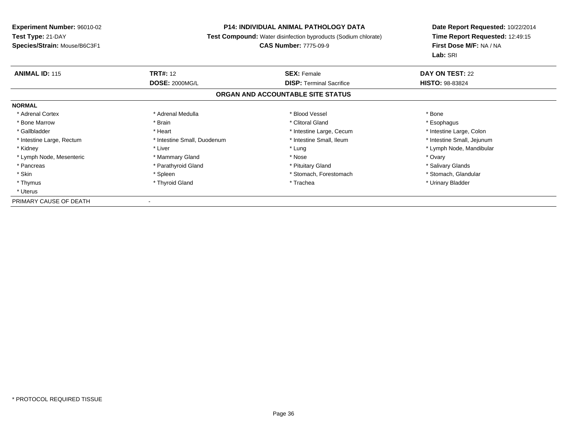# **P14: INDIVIDUAL ANIMAL PATHOLOGY DATA**

**Test Compound:** Water disinfection byproducts (Sodium chlorate)

# **CAS Number:** 7775-09-9

| <b>ANIMAL ID: 115</b>     | <b>TRT#: 12</b>             | <b>SEX: Female</b>                | DAY ON TEST: 22            |  |
|---------------------------|-----------------------------|-----------------------------------|----------------------------|--|
|                           | <b>DOSE: 2000MG/L</b>       | <b>DISP:</b> Terminal Sacrifice   | <b>HISTO: 98-83824</b>     |  |
|                           |                             | ORGAN AND ACCOUNTABLE SITE STATUS |                            |  |
| <b>NORMAL</b>             |                             |                                   |                            |  |
| * Adrenal Cortex          | * Adrenal Medulla           | * Blood Vessel                    | * Bone                     |  |
| * Bone Marrow             | * Brain                     | * Clitoral Gland                  | * Esophagus                |  |
| * Gallbladder             | * Heart                     | * Intestine Large, Cecum          | * Intestine Large, Colon   |  |
| * Intestine Large, Rectum | * Intestine Small, Duodenum | * Intestine Small, Ileum          | * Intestine Small, Jejunum |  |
| * Kidney                  | * Liver                     | * Lung                            | * Lymph Node, Mandibular   |  |
| * Lymph Node, Mesenteric  | * Mammary Gland             | * Nose                            | * Ovary                    |  |
| * Pancreas                | * Parathyroid Gland         | * Pituitary Gland                 | * Salivary Glands          |  |
| * Skin                    | * Spleen                    | * Stomach, Forestomach            | * Stomach, Glandular       |  |
| * Thymus                  | * Thyroid Gland             | * Trachea                         | * Urinary Bladder          |  |
| * Uterus                  |                             |                                   |                            |  |
| PRIMARY CAUSE OF DEATH    |                             |                                   |                            |  |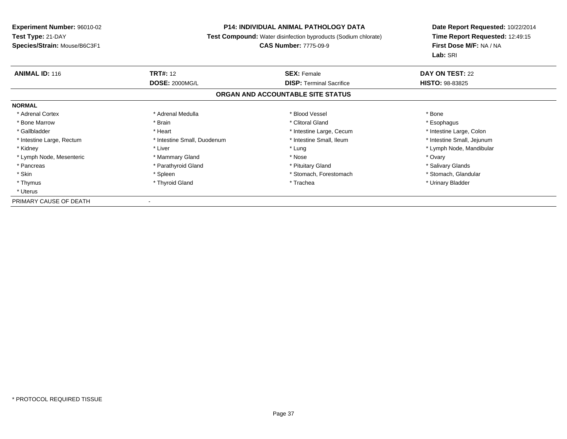# **P14: INDIVIDUAL ANIMAL PATHOLOGY DATA**

**Test Compound:** Water disinfection byproducts (Sodium chlorate)

# **CAS Number:** 7775-09-9

| <b>ANIMAL ID: 116</b>     | <b>TRT#: 12</b>             | <b>SEX: Female</b>                | DAY ON TEST: 22            |  |
|---------------------------|-----------------------------|-----------------------------------|----------------------------|--|
|                           | <b>DOSE: 2000MG/L</b>       | <b>DISP:</b> Terminal Sacrifice   | <b>HISTO: 98-83825</b>     |  |
|                           |                             | ORGAN AND ACCOUNTABLE SITE STATUS |                            |  |
| <b>NORMAL</b>             |                             |                                   |                            |  |
| * Adrenal Cortex          | * Adrenal Medulla           | * Blood Vessel                    | * Bone                     |  |
| * Bone Marrow             | * Brain                     | * Clitoral Gland                  | * Esophagus                |  |
| * Gallbladder             | * Heart                     | * Intestine Large, Cecum          | * Intestine Large, Colon   |  |
| * Intestine Large, Rectum | * Intestine Small, Duodenum | * Intestine Small, Ileum          | * Intestine Small, Jejunum |  |
| * Kidney                  | * Liver                     | * Lung                            | * Lymph Node, Mandibular   |  |
| * Lymph Node, Mesenteric  | * Mammary Gland             | * Nose                            | * Ovary                    |  |
| * Pancreas                | * Parathyroid Gland         | * Pituitary Gland                 | * Salivary Glands          |  |
| * Skin                    | * Spleen                    | * Stomach, Forestomach            | * Stomach, Glandular       |  |
| * Thymus                  | * Thyroid Gland             | * Trachea                         | * Urinary Bladder          |  |
| * Uterus                  |                             |                                   |                            |  |
| PRIMARY CAUSE OF DEATH    |                             |                                   |                            |  |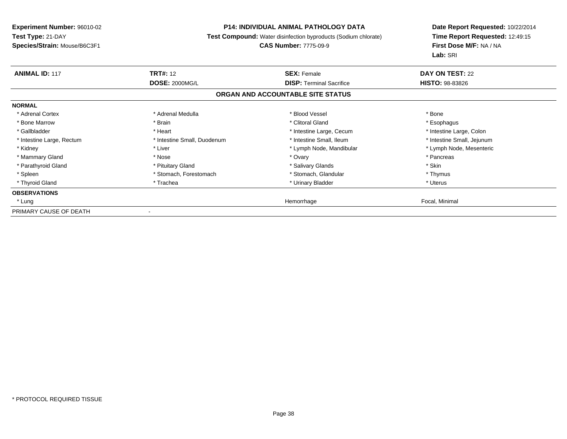# **P14: INDIVIDUAL ANIMAL PATHOLOGY DATA**

**Test Compound:** Water disinfection byproducts (Sodium chlorate)

# **CAS Number:** 7775-09-9

| <b>ANIMAL ID: 117</b>     | <b>TRT#: 12</b>             | <b>SEX: Female</b>                | <b>DAY ON TEST: 22</b>     |
|---------------------------|-----------------------------|-----------------------------------|----------------------------|
|                           | <b>DOSE: 2000MG/L</b>       | <b>DISP:</b> Terminal Sacrifice   | <b>HISTO: 98-83826</b>     |
|                           |                             | ORGAN AND ACCOUNTABLE SITE STATUS |                            |
| <b>NORMAL</b>             |                             |                                   |                            |
| * Adrenal Cortex          | * Adrenal Medulla           | * Blood Vessel                    | * Bone                     |
| * Bone Marrow             | * Brain                     | * Clitoral Gland                  | * Esophagus                |
| * Gallbladder             | * Heart                     | * Intestine Large, Cecum          | * Intestine Large, Colon   |
| * Intestine Large, Rectum | * Intestine Small, Duodenum | * Intestine Small, Ileum          | * Intestine Small, Jejunum |
| * Kidney                  | * Liver                     | * Lymph Node, Mandibular          | * Lymph Node, Mesenteric   |
| * Mammary Gland           | * Nose                      | * Ovary                           | * Pancreas                 |
| * Parathyroid Gland       | * Pituitary Gland           | * Salivary Glands                 | * Skin                     |
| * Spleen                  | * Stomach, Forestomach      | * Stomach, Glandular              | * Thymus                   |
| * Thyroid Gland           | * Trachea                   | * Urinary Bladder                 | * Uterus                   |
| <b>OBSERVATIONS</b>       |                             |                                   |                            |
| * Lung                    |                             | Hemorrhage                        | Focal, Minimal             |
| PRIMARY CAUSE OF DEATH    |                             |                                   |                            |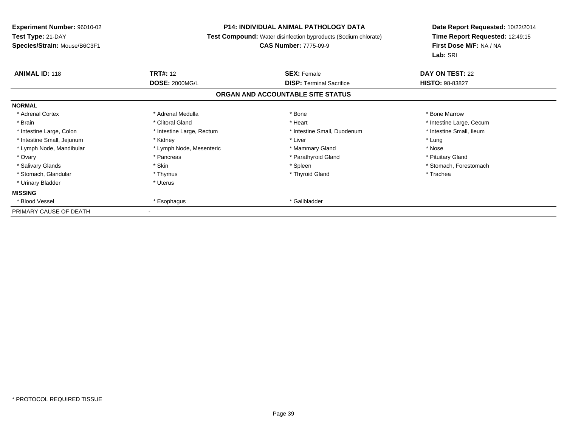# **P14: INDIVIDUAL ANIMAL PATHOLOGY DATA**

**Test Compound:** Water disinfection byproducts (Sodium chlorate)

# **CAS Number:** 7775-09-9

| <b>ANIMAL ID: 118</b>      | <b>TRT#: 12</b>           | <b>SEX: Female</b>                | DAY ON TEST: 22          |  |
|----------------------------|---------------------------|-----------------------------------|--------------------------|--|
|                            | <b>DOSE: 2000MG/L</b>     | <b>DISP: Terminal Sacrifice</b>   | <b>HISTO: 98-83827</b>   |  |
|                            |                           | ORGAN AND ACCOUNTABLE SITE STATUS |                          |  |
| <b>NORMAL</b>              |                           |                                   |                          |  |
| * Adrenal Cortex           | * Adrenal Medulla         | * Bone                            | * Bone Marrow            |  |
| * Brain                    | * Clitoral Gland          | * Heart                           | * Intestine Large, Cecum |  |
| * Intestine Large, Colon   | * Intestine Large, Rectum | * Intestine Small, Duodenum       | * Intestine Small, Ileum |  |
| * Intestine Small, Jejunum | * Kidney                  | * Liver                           | * Lung                   |  |
| * Lymph Node, Mandibular   | * Lymph Node, Mesenteric  | * Mammary Gland                   | * Nose                   |  |
| * Ovary                    | * Pancreas                | * Parathyroid Gland               | * Pituitary Gland        |  |
| * Salivary Glands          | * Skin                    | * Spleen                          | * Stomach, Forestomach   |  |
| * Stomach, Glandular       | * Thymus                  | * Thyroid Gland                   | * Trachea                |  |
| * Urinary Bladder          | * Uterus                  |                                   |                          |  |
| <b>MISSING</b>             |                           |                                   |                          |  |
| * Blood Vessel             | * Esophagus               | * Gallbladder                     |                          |  |
| PRIMARY CAUSE OF DEATH     |                           |                                   |                          |  |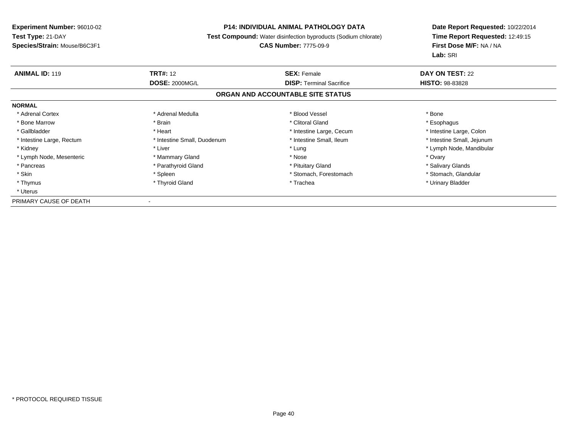# **P14: INDIVIDUAL ANIMAL PATHOLOGY DATA**

**Test Compound:** Water disinfection byproducts (Sodium chlorate)

# **CAS Number:** 7775-09-9

| <b>ANIMAL ID: 119</b>     | <b>TRT#: 12</b>             | <b>SEX: Female</b>                | DAY ON TEST: 22            |  |
|---------------------------|-----------------------------|-----------------------------------|----------------------------|--|
|                           | <b>DOSE: 2000MG/L</b>       | <b>DISP:</b> Terminal Sacrifice   | <b>HISTO: 98-83828</b>     |  |
|                           |                             | ORGAN AND ACCOUNTABLE SITE STATUS |                            |  |
| <b>NORMAL</b>             |                             |                                   |                            |  |
| * Adrenal Cortex          | * Adrenal Medulla           | * Blood Vessel                    | * Bone                     |  |
| * Bone Marrow             | * Brain                     | * Clitoral Gland                  | * Esophagus                |  |
| * Gallbladder             | * Heart                     | * Intestine Large, Cecum          | * Intestine Large, Colon   |  |
| * Intestine Large, Rectum | * Intestine Small, Duodenum | * Intestine Small, Ileum          | * Intestine Small, Jejunum |  |
| * Kidney                  | * Liver                     | * Lung                            | * Lymph Node, Mandibular   |  |
| * Lymph Node, Mesenteric  | * Mammary Gland             | * Nose                            | * Ovary                    |  |
| * Pancreas                | * Parathyroid Gland         | * Pituitary Gland                 | * Salivary Glands          |  |
| * Skin                    | * Spleen                    | * Stomach, Forestomach            | * Stomach, Glandular       |  |
| * Thymus                  | * Thyroid Gland             | * Trachea                         | * Urinary Bladder          |  |
| * Uterus                  |                             |                                   |                            |  |
| PRIMARY CAUSE OF DEATH    |                             |                                   |                            |  |